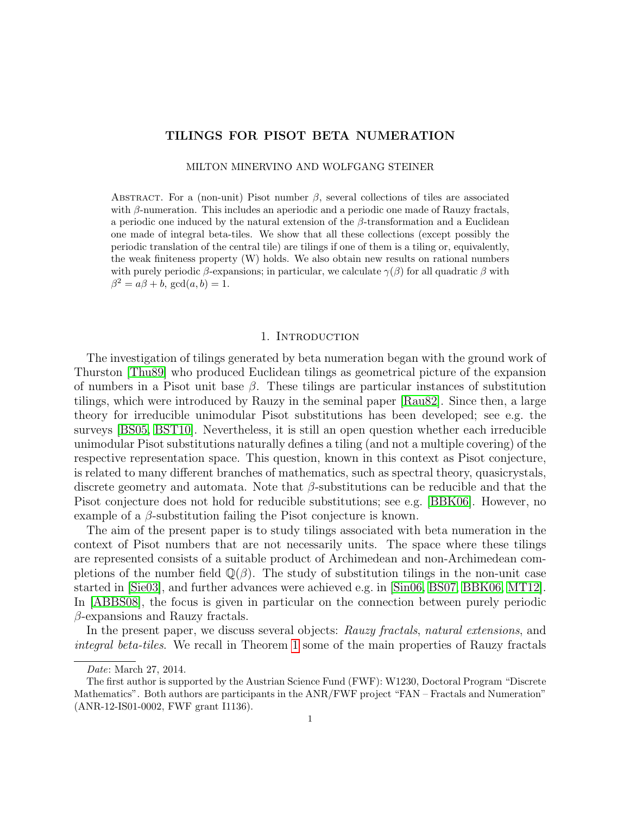# TILINGS FOR PISOT BETA NUMERATION

MILTON MINERVINO AND WOLFGANG STEINER

ABSTRACT. For a (non-unit) Pisot number  $\beta$ , several collections of tiles are associated with  $\beta$ -numeration. This includes an aperiodic and a periodic one made of Rauzy fractals, a periodic one induced by the natural extension of the  $\beta$ -transformation and a Euclidean one made of integral beta-tiles. We show that all these collections (except possibly the periodic translation of the central tile) are tilings if one of them is a tiling or, equivalently, the weak finiteness property (W) holds. We also obtain new results on rational numbers with purely periodic  $\beta$ -expansions; in particular, we calculate  $\gamma(\beta)$  for all quadratic  $\beta$  with  $\beta^2 = a\beta + b$ , gcd $(a, b) = 1$ .

#### 1. INTRODUCTION

The investigation of tilings generated by beta numeration began with the ground work of Thurston [\[Thu89\]](#page-28-0) who produced Euclidean tilings as geometrical picture of the expansion of numbers in a Pisot unit base  $\beta$ . These tilings are particular instances of substitution tilings, which were introduced by Rauzy in the seminal paper [\[Rau82\]](#page-28-1). Since then, a large theory for irreducible unimodular Pisot substitutions has been developed; see e.g. the surveys [\[BS05,](#page-27-0) [BST10\]](#page-27-1). Nevertheless, it is still an open question whether each irreducible unimodular Pisot substitutions naturally defines a tiling (and not a multiple covering) of the respective representation space. This question, known in this context as Pisot conjecture, is related to many different branches of mathematics, such as spectral theory, quasicrystals, discrete geometry and automata. Note that  $\beta$ -substitutions can be reducible and that the Pisot conjecture does not hold for reducible substitutions; see e.g. [\[BBK06\]](#page-27-2). However, no example of a  $\beta$ -substitution failing the Pisot conjecture is known.

The aim of the present paper is to study tilings associated with beta numeration in the context of Pisot numbers that are not necessarily units. The space where these tilings are represented consists of a suitable product of Archimedean and non-Archimedean completions of the number field  $\mathbb{Q}(\beta)$ . The study of substitution tilings in the non-unit case started in [\[Sie03\]](#page-28-2), and further advances were achieved e.g. in [\[Sin06,](#page-28-3) [BS07,](#page-27-3) [BBK06,](#page-27-2) [MT12\]](#page-28-4). In [\[ABBS08\]](#page-27-4), the focus is given in particular on the connection between purely periodic  $\beta$ -expansions and Rauzy fractals.

In the present paper, we discuss several objects: Rauzy fractals, natural extensions, and integral beta-tiles. We recall in Theorem [1](#page-5-0) some of the main properties of Rauzy fractals

Date: March 27, 2014.

The first author is supported by the Austrian Science Fund (FWF): W1230, Doctoral Program "Discrete Mathematics". Both authors are participants in the ANR/FWF project "FAN – Fractals and Numeration" (ANR-12-IS01-0002, FWF grant I1136).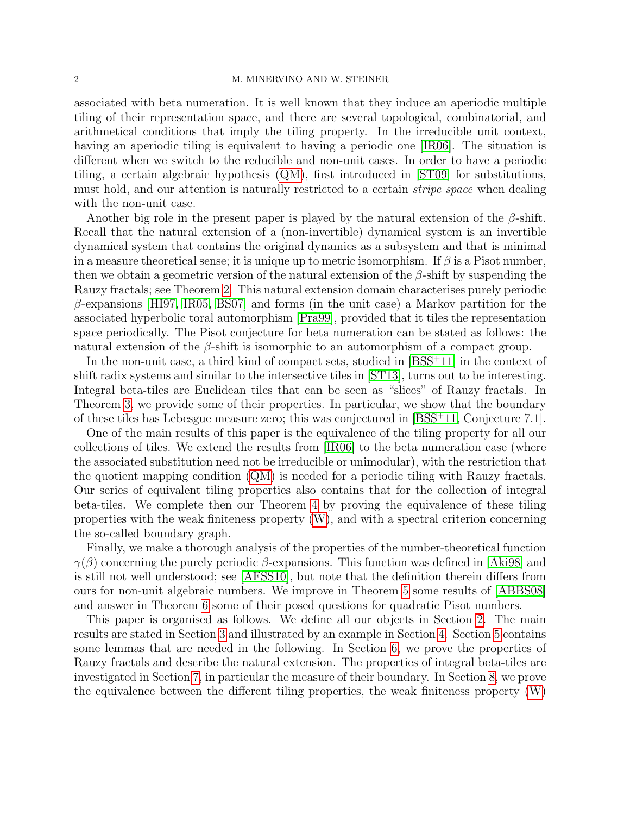#### 2 M. MINERVINO AND W. STEINER

associated with beta numeration. It is well known that they induce an aperiodic multiple tiling of their representation space, and there are several topological, combinatorial, and arithmetical conditions that imply the tiling property. In the irreducible unit context, having an aperiodic tiling is equivalent to having a periodic one [\[IR06\]](#page-28-5). The situation is different when we switch to the reducible and non-unit cases. In order to have a periodic tiling, a certain algebraic hypothesis [\(QM\)](#page-3-0), first introduced in [\[ST09\]](#page-28-6) for substitutions, must hold, and our attention is naturally restricted to a certain stripe space when dealing with the non-unit case.

Another big role in the present paper is played by the natural extension of the  $\beta$ -shift. Recall that the natural extension of a (non-invertible) dynamical system is an invertible dynamical system that contains the original dynamics as a subsystem and that is minimal in a measure theoretical sense; it is unique up to metric isomorphism. If  $\beta$  is a Pisot number, then we obtain a geometric version of the natural extension of the  $\beta$ -shift by suspending the Rauzy fractals; see Theorem [2.](#page-6-0) This natural extension domain characterises purely periodic  $\beta$ -expansions [\[HI97,](#page-28-7) [IR05,](#page-28-8) [BS07\]](#page-27-3) and forms (in the unit case) a Markov partition for the associated hyperbolic toral automorphism [\[Pra99\]](#page-28-9), provided that it tiles the representation space periodically. The Pisot conjecture for beta numeration can be stated as follows: the natural extension of the  $\beta$ -shift is isomorphic to an automorphism of a compact group.

In the non-unit case, a third kind of compact sets, studied in  $[BSS^+11]$  $[BSS^+11]$  in the context of shift radix systems and similar to the intersective tiles in [\[ST13\]](#page-28-10), turns out to be interesting. Integral beta-tiles are Euclidean tiles that can be seen as "slices" of Rauzy fractals. In Theorem [3,](#page-6-1) we provide some of their properties. In particular, we show that the boundary of these tiles has Lebesgue measure zero; this was conjectured in [\[BSS](#page-27-5)<sup>+</sup>11, Conjecture 7.1].

One of the main results of this paper is the equivalence of the tiling property for all our collections of tiles. We extend the results from [\[IR06\]](#page-28-5) to the beta numeration case (where the associated substitution need not be irreducible or unimodular), with the restriction that the quotient mapping condition [\(QM\)](#page-3-0) is needed for a periodic tiling with Rauzy fractals. Our series of equivalent tiling properties also contains that for the collection of integral beta-tiles. We complete then our Theorem [4](#page-6-2) by proving the equivalence of these tiling properties with the weak finiteness property [\(W\)](#page-5-1), and with a spectral criterion concerning the so-called boundary graph.

Finally, we make a thorough analysis of the properties of the number-theoretical function  $\gamma(\beta)$  concerning the purely periodic  $\beta$ -expansions. This function was defined in [\[Aki98\]](#page-27-6) and is still not well understood; see [\[AFSS10\]](#page-27-7), but note that the definition therein differs from ours for non-unit algebraic numbers. We improve in Theorem [5](#page-7-0) some results of [\[ABBS08\]](#page-27-4) and answer in Theorem [6](#page-7-1) some of their posed questions for quadratic Pisot numbers.

This paper is organised as follows. We define all our objects in Section [2.](#page-2-0) The main results are stated in Section [3](#page-5-2) and illustrated by an example in Section [4.](#page-7-2) Section [5](#page-7-3) contains some lemmas that are needed in the following. In Section [6,](#page-11-0) we prove the properties of Rauzy fractals and describe the natural extension. The properties of integral beta-tiles are investigated in Section [7,](#page-13-0) in particular the measure of their boundary. In Section [8,](#page-16-0) we prove the equivalence between the different tiling properties, the weak finiteness property [\(W\)](#page-5-1)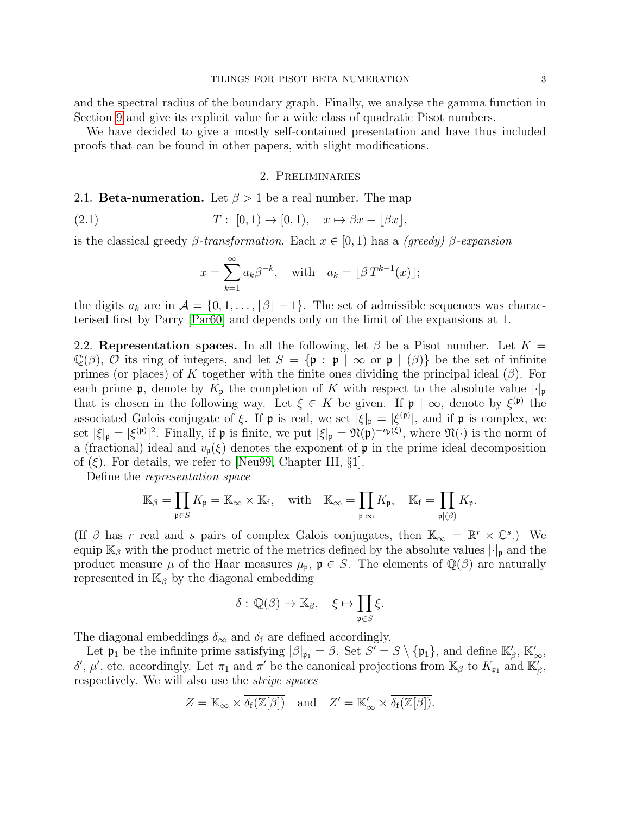and the spectral radius of the boundary graph. Finally, we analyse the gamma function in Section [9](#page-22-0) and give its explicit value for a wide class of quadratic Pisot numbers.

We have decided to give a mostly self-contained presentation and have thus included proofs that can be found in other papers, with slight modifications.

## 2. Preliminaries

# <span id="page-2-0"></span>2.1. **Beta-numeration.** Let  $\beta > 1$  be a real number. The map

$$
(2.1) \t\t T: [0,1) \to [0,1), \t x \mapsto \beta x - [\beta x],
$$

is the classical greedy  $\beta$ -transformation. Each  $x \in [0, 1)$  has a (greedy)  $\beta$ -expansion

$$
x = \sum_{k=1}^{\infty} a_k \beta^{-k}, \quad \text{with} \quad a_k = \lfloor \beta T^{k-1}(x) \rfloor;
$$

the digits  $a_k$  are in  $\mathcal{A} = \{0, 1, \ldots, \lceil \beta \rceil - 1\}$ . The set of admissible sequences was characterised first by Parry [\[Par60\]](#page-28-11) and depends only on the limit of the expansions at 1.

2.2. Representation spaces. In all the following, let  $\beta$  be a Pisot number. Let  $K =$  $\mathbb{Q}(\beta)$ , O its ring of integers, and let  $S = {\mathfrak{p} : \mathfrak{p} \mid \infty \text{ or } \mathfrak{p} \mid (\beta)}$  be the set of infinite primes (or places) of K together with the finite ones dividing the principal ideal  $(\beta)$ . For each prime **p**, denote by  $K_{\mathfrak{p}}$  the completion of K with respect to the absolute value  $|\cdot|_{\mathfrak{p}}$ that is chosen in the following way. Let  $\xi \in K$  be given. If  $\mathfrak{p} \mid \infty$ , denote by  $\xi^{(\mathfrak{p})}$  the associated Galois conjugate of  $\xi$ . If  $\mathfrak p$  is real, we set  $|\xi|_{\mathfrak p} = |\xi^{(\mathfrak p)}|$ , and if  $\mathfrak p$  is complex, we set  $|\xi|_{\mathfrak{p}} = |\xi^{(\mathfrak{p})}|^2$ . Finally, if  $\mathfrak{p}$  is finite, we put  $|\xi|_{\mathfrak{p}} = \mathfrak{N}(\mathfrak{p})^{-v_{\mathfrak{p}}(\xi)}$ , where  $\mathfrak{N}(\cdot)$  is the norm of a (fractional) ideal and  $v_{p}(\xi)$  denotes the exponent of p in the prime ideal decomposition of  $(\xi)$ . For details, we refer to [\[Neu99,](#page-28-12) Chapter III, §1].

Define the representation space

$$
\mathbb{K}_{\beta} = \prod_{\mathfrak{p} \in S} K_{\mathfrak{p}} = \mathbb{K}_{\infty} \times \mathbb{K}_{\mathrm{f}}, \quad \text{with} \quad \mathbb{K}_{\infty} = \prod_{\mathfrak{p} \mid \infty} K_{\mathfrak{p}}, \quad \mathbb{K}_{\mathrm{f}} = \prod_{\mathfrak{p} \mid (\beta)} K_{\mathfrak{p}}.
$$

(If  $\beta$  has r real and s pairs of complex Galois conjugates, then  $\mathbb{K}_{\infty} = \mathbb{R}^r \times \mathbb{C}^s$ .) We equip  $\mathbb{K}_{\beta}$  with the product metric of the metrics defined by the absolute values  $|\cdot|_{p}$  and the product measure  $\mu$  of the Haar measures  $\mu_{\mathfrak{p}}$ ,  $\mathfrak{p} \in S$ . The elements of  $\mathbb{Q}(\beta)$  are naturally represented in  $\mathbb{K}_{\beta}$  by the diagonal embedding

$$
\delta: \mathbb{Q}(\beta) \to \mathbb{K}_{\beta}, \quad \xi \mapsto \prod_{\mathfrak{p} \in S} \xi.
$$

The diagonal embeddings  $\delta_{\infty}$  and  $\delta_{\rm f}$  are defined accordingly.

Let  $\mathfrak{p}_1$  be the infinite prime satisfying  $|\beta|_{\mathfrak{p}_1} = \beta$ . Set  $S' = S \setminus {\{\mathfrak{p}_1\}}$ , and define  $\mathbb{K}'_{\beta}$ ,  $\mathbb{K}'_{\infty}$ , δ', μ', etc. accordingly. Let  $\pi_1$  and  $\pi'$  be the canonical projections from K<sub>β</sub> to K<sub>p<sub>1</sub></sub> and K<sub>β</sub><sup>'</sup>, respectively. We will also use the stripe spaces

$$
Z = \mathbb{K}_{\infty} \times \overline{\delta_{\mathbf{f}}(\mathbb{Z}[\beta])} \quad \text{and} \quad Z' = \mathbb{K}_{\infty}' \times \overline{\delta_{\mathbf{f}}(\mathbb{Z}[\beta])}.
$$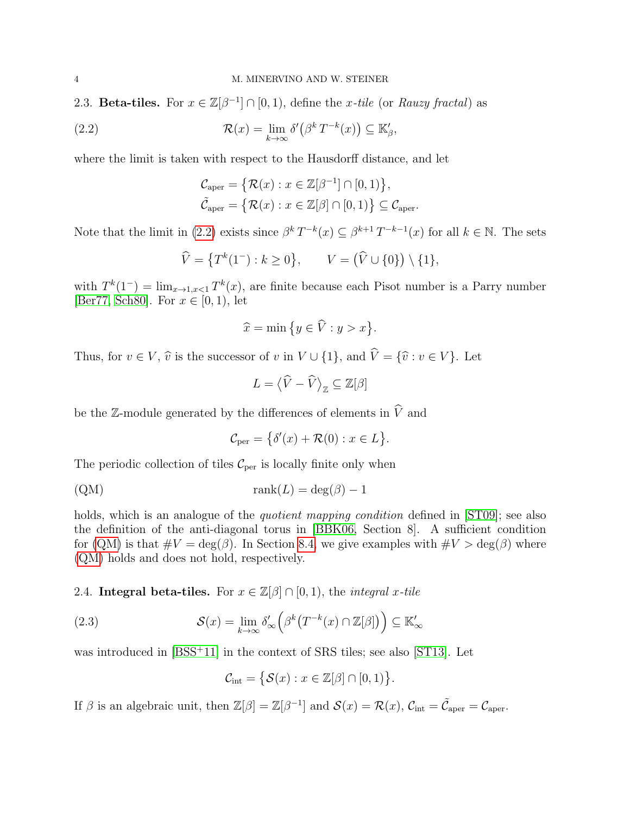2.3. Beta-tiles. For  $x \in \mathbb{Z}[\beta^{-1}] \cap [0,1)$ , define the x-tile (or Rauzy fractal) as

(2.2) 
$$
\mathcal{R}(x) = \lim_{k \to \infty} \delta'(\beta^k T^{-k}(x)) \subseteq \mathbb{K}'_{\beta},
$$

where the limit is taken with respect to the Hausdorff distance, and let

<span id="page-3-1"></span>
$$
\mathcal{C}_{\text{aper}} = \{ \mathcal{R}(x) : x \in \mathbb{Z}[\beta^{-1}] \cap [0, 1) \},\
$$

$$
\tilde{\mathcal{C}}_{\text{aper}} = \{ \mathcal{R}(x) : x \in \mathbb{Z}[\beta] \cap [0, 1) \} \subseteq \mathcal{C}_{\text{aper}}.
$$

Note that the limit in [\(2.2\)](#page-3-1) exists since  $\beta^k T^{-k}(x) \subseteq \beta^{k+1} T^{-k-1}(x)$  for all  $k \in \mathbb{N}$ . The sets

$$
\widehat{V} = \{ T^k(1^-) : k \ge 0 \}, \qquad V = (\widehat{V} \cup \{0\}) \setminus \{1\},
$$

with  $T^k(1^-) = \lim_{x \to 1, x < 1} T^k(x)$ , are finite because each Pisot number is a Parry number [\[Ber77,](#page-27-8) [Sch80\]](#page-28-13). For  $x \in [0, 1)$ , let

$$
\widehat{x} = \min\big\{y \in \widehat{V} : y > x\big\}.
$$

Thus, for  $v \in V$ ,  $\hat{v}$  is the successor of v in  $V \cup \{1\}$ , and  $\hat{V} = {\hat{v} : v \in V}$ . Let

$$
L = \langle \widehat{V} - \widehat{V} \rangle_{\mathbb{Z}} \subseteq \mathbb{Z}[\beta]
$$

be the Z-module generated by the differences of elements in  $\widehat{V}$  and

$$
\mathcal{C}_{\text{per}} = \{ \delta'(x) + \mathcal{R}(0) : x \in L \}.
$$

The periodic collection of tiles  $\mathcal{C}_{\text{per}}$  is locally finite only when

<span id="page-3-0"></span>
$$
rank(L) = deg(\beta) - 1
$$

holds, which is an analogue of the *quotient mapping condition* defined in [\[ST09\]](#page-28-6); see also the definition of the anti-diagonal torus in [\[BBK06,](#page-27-2) Section 8]. A sufficient condition for [\(QM\)](#page-3-0) is that  $\#V = \deg(\beta)$ . In Section [8.4,](#page-20-0) we give examples with  $\#V > \deg(\beta)$  where [\(QM\)](#page-3-0) holds and does not hold, respectively.

2.4. Integral beta-tiles. For  $x \in \mathbb{Z}[\beta] \cap [0,1)$ , the *integral* x-tile

(2.3) 
$$
\mathcal{S}(x) = \lim_{k \to \infty} \delta'_{\infty} \left( \beta^k \left( T^{-k}(x) \cap \mathbb{Z}[\beta] \right) \right) \subseteq \mathbb{K}'_{\infty}
$$

was introduced in [\[BSS](#page-27-5)<sup>+</sup>11] in the context of SRS tiles; see also [\[ST13\]](#page-28-10). Let

$$
\mathcal{C}_{\text{int}} = \big\{ \mathcal{S}(x) : x \in \mathbb{Z}[\beta] \cap [0,1) \big\}.
$$

If  $\beta$  is an algebraic unit, then  $\mathbb{Z}[\beta] = \mathbb{Z}[\beta^{-1}]$  and  $\mathcal{S}(x) = \mathcal{R}(x)$ ,  $\mathcal{C}_{\text{int}} = \tilde{\mathcal{C}}_{\text{aper}} = \mathcal{C}_{\text{aper}}$ .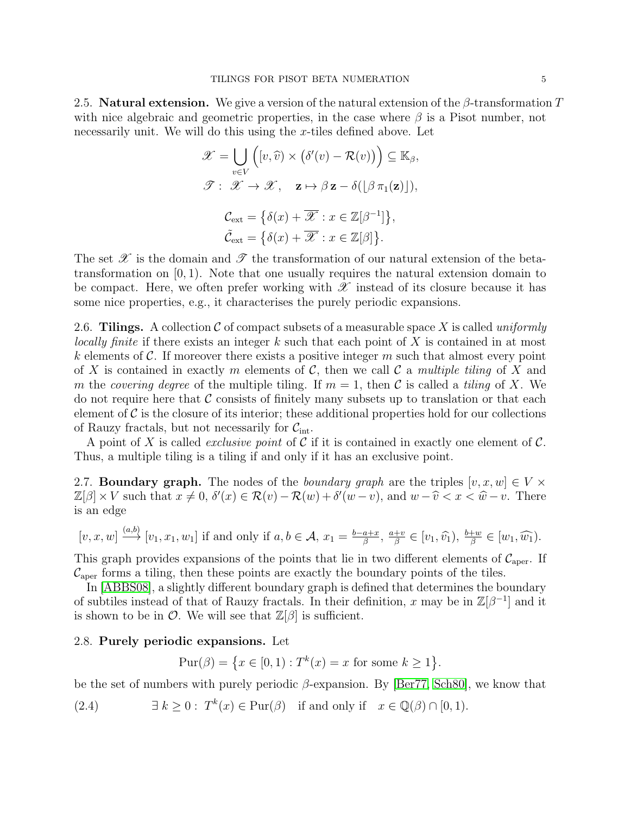2.5. **Natural extension.** We give a version of the natural extension of the  $\beta$ -transformation T with nice algebraic and geometric properties, in the case where  $\beta$  is a Pisot number, not necessarily unit. We will do this using the  $x$ -tiles defined above. Let

$$
\mathscr{X} = \bigcup_{v \in V} \left( [v, \widehat{v}) \times (\delta'(v) - \mathcal{R}(v)) \right) \subseteq \mathbb{K}_{\beta},
$$
  

$$
\mathscr{T} : \mathscr{X} \to \mathscr{X}, \quad \mathbf{z} \mapsto \beta \mathbf{z} - \delta([\beta \pi_1(\mathbf{z})]),
$$
  

$$
\mathcal{C}_{ext} = \{\delta(x) + \overline{\mathscr{X}} : x \in \mathbb{Z}[\beta^{-1}]\},
$$
  

$$
\tilde{\mathcal{C}}_{ext} = \{\delta(x) + \overline{\mathscr{X}} : x \in \mathbb{Z}[\beta]\}.
$$

The set  $\mathscr X$  is the domain and  $\mathscr T$  the transformation of our natural extension of the betatransformation on  $[0, 1)$ . Note that one usually requires the natural extension domain to be compact. Here, we often prefer working with  $\mathscr X$  instead of its closure because it has some nice properties, e.g., it characterises the purely periodic expansions.

2.6. Tilings. A collection  $\mathcal C$  of compact subsets of a measurable space X is called uniformly locally finite if there exists an integer k such that each point of X is contained in at most k elements of  $\mathcal C$ . If moreover there exists a positive integer m such that almost every point of X is contained in exactly m elements of C, then we call C a multiple tiling of X and m the covering degree of the multiple tiling. If  $m = 1$ , then C is called a tiling of X. We do not require here that  $\mathcal C$  consists of finitely many subsets up to translation or that each element of  $\mathcal C$  is the closure of its interior; these additional properties hold for our collections of Rauzy fractals, but not necessarily for  $C_{\text{int}}$ .

A point of X is called *exclusive point* of C if it is contained in exactly one element of C. Thus, a multiple tiling is a tiling if and only if it has an exclusive point.

<span id="page-4-1"></span>2.7. **Boundary graph.** The nodes of the *boundary graph* are the triples  $[v, x, w] \in V \times$  $\mathbb{Z}[\beta] \times V$  such that  $x \neq 0$ ,  $\delta'(x) \in \mathcal{R}(v) - \mathcal{R}(w) + \delta'(w - v)$ , and  $w - \hat{v} < x < \hat{w} - v$ . There is an edge

$$
[v, x, w] \xrightarrow{(a, b)} [v_1, x_1, w_1] \text{ if and only if } a, b \in \mathcal{A}, x_1 = \frac{b - a + x}{\beta}, \frac{a + v}{\beta} \in [v_1, \widehat{v_1}), \frac{b + w}{\beta} \in [w_1, \widehat{w_1}).
$$

This graph provides expansions of the points that lie in two different elements of  $\mathcal{C}_{aper}$ . If  $\mathcal{C}_{\text{aper}}$  forms a tiling, then these points are exactly the boundary points of the tiles.

In [\[ABBS08\]](#page-27-4), a slightly different boundary graph is defined that determines the boundary of subtiles instead of that of Rauzy fractals. In their definition, x may be in  $\mathbb{Z}[\beta^{-1}]$  and it is shown to be in  $\mathcal{O}$ . We will see that  $\mathbb{Z}[\beta]$  is sufficient.

### 2.8. Purely periodic expansions. Let

<span id="page-4-0"></span>
$$
\text{Pur}(\beta) = \{ x \in [0, 1) : T^k(x) = x \text{ for some } k \ge 1 \}.
$$

be the set of numbers with purely periodic  $\beta$ -expansion. By [\[Ber77,](#page-27-8) [Sch80\]](#page-28-13), we know that

(2.4) 
$$
\exists k \geq 0: T^k(x) \in \text{Pur}(\beta) \text{ if and only if } x \in \mathbb{Q}(\beta) \cap [0,1).
$$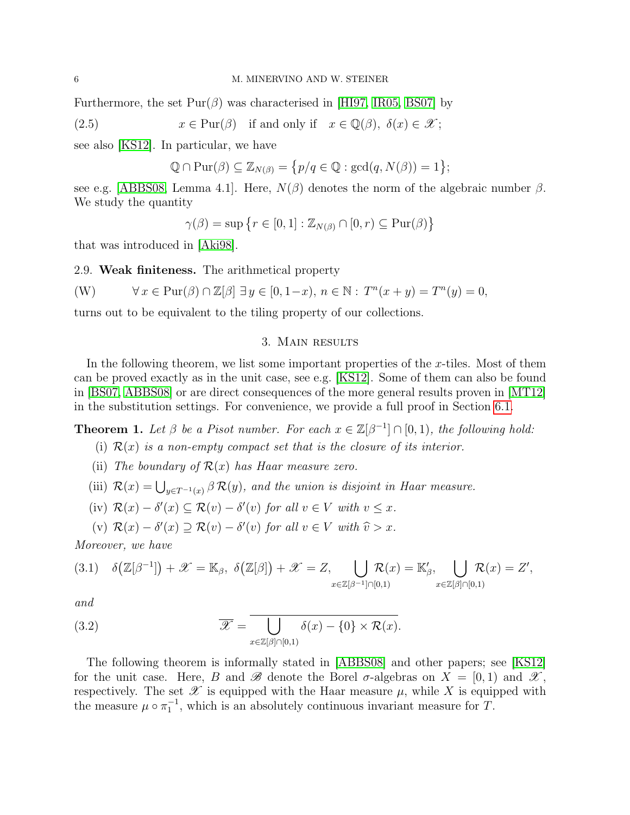Furthermore, the set  $\text{Pur}(\beta)$  was characterised in [\[HI97,](#page-28-7) [IR05,](#page-28-8) [BS07\]](#page-27-3) by

(2.5) 
$$
x \in \text{Pur}(\beta)
$$
 if and only if  $x \in \mathbb{Q}(\beta)$ ,  $\delta(x) \in \mathcal{X}$ ;

see also [\[KS12\]](#page-28-14). In particular, we have

<span id="page-5-6"></span>
$$
\mathbb{Q} \cap \mathrm{Pur}(\beta) \subseteq \mathbb{Z}_{N(\beta)} = \{p/q \in \mathbb{Q} : \mathrm{gcd}(q, N(\beta)) = 1\};
$$

see e.g. [\[ABBS08,](#page-27-4) Lemma 4.1]. Here,  $N(\beta)$  denotes the norm of the algebraic number  $\beta$ . We study the quantity

 $\gamma(\beta) = \sup \{ r \in [0, 1] : \mathbb{Z}_{N(\beta)} \cap [0, r) \subseteq \text{Pur}(\beta) \}$ 

that was introduced in [\[Aki98\]](#page-27-6).

2.9. Weak finiteness. The arithmetical property

<span id="page-5-1"></span>
$$
(W) \qquad \forall x \in \text{Pur}(\beta) \cap \mathbb{Z}[\beta] \exists y \in [0, 1-x), \, n \in \mathbb{N}: \, T^n(x+y) = T^n(y) = 0,
$$

turns out to be equivalent to the tiling property of our collections.

### 3. Main results

<span id="page-5-2"></span>In the following theorem, we list some important properties of the  $x$ -tiles. Most of them can be proved exactly as in the unit case, see e.g. [\[KS12\]](#page-28-14). Some of them can also be found in [\[BS07,](#page-27-3) [ABBS08\]](#page-27-4) or are direct consequences of the more general results proven in [\[MT12\]](#page-28-4) in the substitution settings. For convenience, we provide a full proof in Section [6.1.](#page-11-1)

<span id="page-5-8"></span><span id="page-5-0"></span>**Theorem 1.** Let  $\beta$  be a Pisot number. For each  $x \in \mathbb{Z}[\beta^{-1}] \cap [0,1)$ , the following hold:

- (i)  $\mathcal{R}(x)$  is a non-empty compact set that is the closure of its interior.
- <span id="page-5-9"></span>(ii) The boundary of  $\mathcal{R}(x)$  has Haar measure zero.
- <span id="page-5-3"></span>(iii)  $\mathcal{R}(x) = \bigcup_{y \in T^{-1}(x)} \beta \mathcal{R}(y)$ , and the union is disjoint in Haar measure.
- <span id="page-5-4"></span>(iv)  $\mathcal{R}(x) - \delta'(x) \subseteq \mathcal{R}(v) - \delta'(v)$  for all  $v \in V$  with  $v \leq x$ .
- <span id="page-5-5"></span>(v)  $\mathcal{R}(x) - \delta'(x) \supseteq \mathcal{R}(v) - \delta'(v)$  for all  $v \in V$  with  $\widehat{v} > x$ .

Moreover, we have

$$
(3.1) \quad \delta\big(\mathbb{Z}[\beta^{-1}]\big) + \mathscr{X} = \mathbb{K}_{\beta}, \ \delta\big(\mathbb{Z}[\beta]\big) + \mathscr{X} = Z, \bigcup_{x \in \mathbb{Z}[\beta^{-1}] \cap [0,1)} \mathcal{R}(x) = \mathbb{K}'_{\beta}, \bigcup_{x \in \mathbb{Z}[\beta] \cap [0,1)} \mathcal{R}(x) = Z',
$$

and

<span id="page-5-7"></span>(3.2) 
$$
\overline{\mathscr{X}} = \overline{\bigcup_{x \in \mathbb{Z}[\beta] \cap [0,1)} \delta(x) - \{0\} \times \mathcal{R}(x)}.
$$

The following theorem is informally stated in [\[ABBS08\]](#page-27-4) and other papers; see [\[KS12\]](#page-28-14) for the unit case. Here, B and B denote the Borel  $\sigma$ -algebras on  $X = [0, 1)$  and  $\mathscr{X}$ , respectively. The set  $\mathscr X$  is equipped with the Haar measure  $\mu$ , while X is equipped with the measure  $\mu \circ \pi_1^{-1}$ , which is an absolutely continuous invariant measure for T.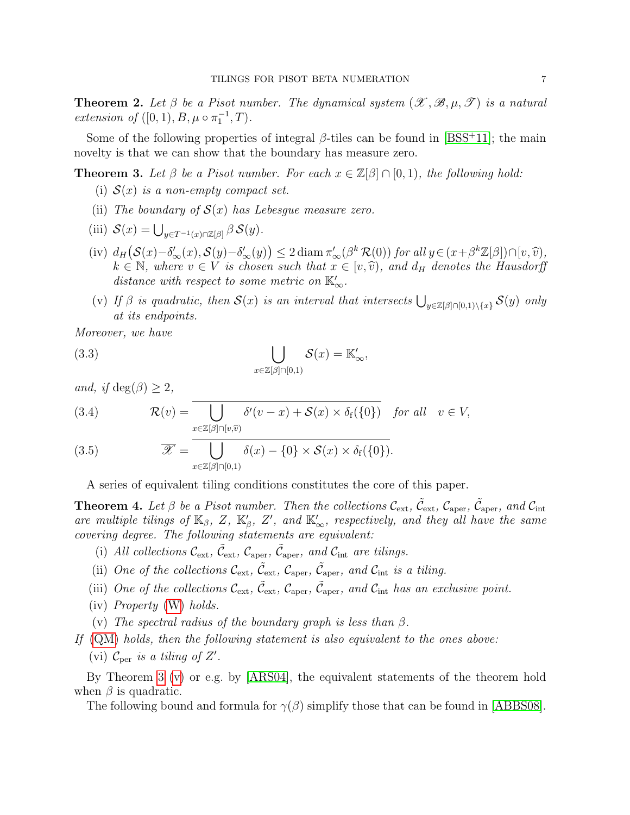<span id="page-6-0"></span>**Theorem 2.** Let  $\beta$  be a Pisot number. The dynamical system  $(\mathscr{X}, \mathscr{B}, \mu, \mathscr{T})$  is a natural extension of  $([0, 1), B, \mu \circ \pi_1^{-1}, T)$ .

Some of the following properties of integral  $\beta$ -tiles can be found in [\[BSS](#page-27-5)<sup>+11]</sup>; the main novelty is that we can show that the boundary has measure zero.

<span id="page-6-4"></span><span id="page-6-1"></span>**Theorem 3.** Let  $\beta$  be a Pisot number. For each  $x \in \mathbb{Z}[\beta] \cap [0,1)$ , the following hold:

- (i)  $S(x)$  is a non-empty compact set.
- <span id="page-6-10"></span>(ii) The boundary of  $S(x)$  has Lebesque measure zero.
- <span id="page-6-5"></span>(iii)  $S(x) = \bigcup_{y \in T^{-1}(x) \cap \mathbb{Z}[\beta]} \beta S(y).$
- <span id="page-6-6"></span>(iv)  $d_H(S(x) - \delta'_{\infty}(x), S(y) - \delta'_{\infty}(y)) \leq 2 \operatorname{diam} \pi'_{\infty}(\beta^k \mathcal{R}(0))$  for all  $y \in (x + \beta^k \mathbb{Z}[\beta]) \cap [v, \hat{v}),$ <br>  $k \in \mathbb{N}$  where  $v \in V$  is chosen such that  $x \in [v, \hat{v})$  and  $dx$  denotes the Hausdorff  $k \in \mathbb{N}$ , where  $v \in V$  is chosen such that  $x \in [v, \hat{v})$ , and  $d_H$  denotes the Hausdorff distance with respect to some metric on  $\mathbb{K}'_{\infty}$ .
- <span id="page-6-7"></span><span id="page-6-3"></span>(v) If  $\beta$  is quadratic, then  $\mathcal{S}(x)$  is an interval that intersects  $\bigcup_{y\in\mathbb{Z}[\beta]\cap[0,1)\setminus\{x\}}\mathcal{S}(y)$  only at its endpoints.

Moreover, we have

(3.3) 
$$
\bigcup_{x \in \mathbb{Z}[\beta] \cap [0,1)} \mathcal{S}(x) = \mathbb{K}'_{\infty},
$$

and, if  $deg(\beta) > 2$ ,

<span id="page-6-8"></span>(3.4) 
$$
\mathcal{R}(v) = \overline{\bigcup_{x \in \mathbb{Z}[\beta] \cap [v,\widehat{v}]} \delta'(v-x) + \mathcal{S}(x) \times \delta_f(\{0\})} \quad \text{for all} \quad v \in V,
$$

<span id="page-6-9"></span>(3.5) 
$$
\overline{\mathscr{X}} = \overline{\bigcup_{x \in \mathbb{Z}[\beta] \cap [0,1)} \delta(x) - \{0\} \times \mathcal{S}(x) \times \delta_f(\{0\})}.
$$

A series of equivalent tiling conditions constitutes the core of this paper.

<span id="page-6-2"></span>**Theorem 4.** Let  $\beta$  be a Pisot number. Then the collections  $C_{ext}$ ,  $\tilde{C}_{ext}$ ,  $C_{aper}$ ,  $\tilde{C}_{aper}$ , and  $C_{int}$ are multiple tilings of  $\mathbb{K}_{\beta}$ , Z,  $\mathbb{K}'_{\beta}$ , Z', and  $\mathbb{K}'_{\infty}$ , respectively, and they all have the same covering degree. The following statements are equivalent:

- <span id="page-6-11"></span>(i) All collections  $\mathcal{C}_{ext}$ ,  $\tilde{\mathcal{C}}_{ext}$ ,  $\mathcal{C}_{aper}$ ,  $\tilde{\mathcal{C}}_{aper}$ , and  $\mathcal{C}_{int}$  are tilings.
- <span id="page-6-15"></span>(ii) One of the collections  $\mathcal{C}_{ext}$ ,  $\tilde{\mathcal{C}}_{ext}$ ,  $\mathcal{C}_{aper}$ ,  $\tilde{\mathcal{C}}_{aper}$ , and  $\mathcal{C}_{int}$  is a tiling.
- <span id="page-6-12"></span>(iii) One of the collections  $\mathcal{C}_{ext}$ ,  $\tilde{\mathcal{C}}_{ext}$ ,  $\mathcal{C}_{aper}$ ,  $\tilde{\mathcal{C}}_{aper}$ , and  $\mathcal{C}_{int}$  has an exclusive point.
- <span id="page-6-13"></span>(iv) Property [\(W\)](#page-5-1) holds.
- <span id="page-6-14"></span>(v) The spectral radius of the boundary graph is less than  $\beta$ .
- <span id="page-6-16"></span>If [\(QM\)](#page-3-0) holds, then the following statement is also equivalent to the ones above: (vi)  $\mathcal{C}_{\text{per}}$  is a tiling of Z'.

By Theorem [3](#page-6-1) [\(v\)](#page-6-3) or e.g. by  $[ARS04]$ , the equivalent statements of the theorem hold when  $\beta$  is quadratic.

The following bound and formula for  $\gamma(\beta)$  simplify those that can be found in [\[ABBS08\]](#page-27-4).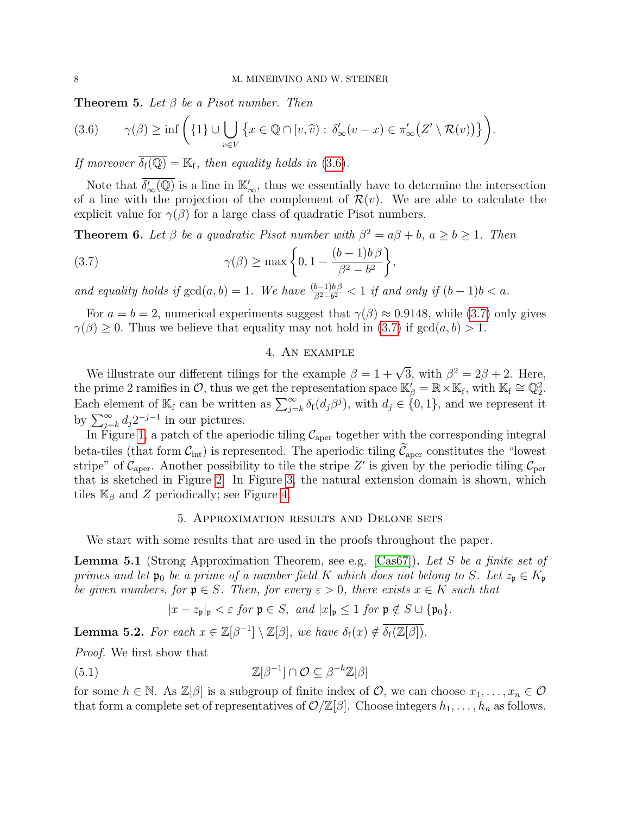<span id="page-7-0"></span>**Theorem 5.** Let  $\beta$  be a Pisot number. Then

<span id="page-7-4"></span>
$$
(3.6) \qquad \gamma(\beta) \geq \inf \bigg(\{1\} \cup \bigcup_{v \in V} \big\{x \in \mathbb{Q} \cap [v, \widehat{v}) : \delta'_{\infty}(v - x) \in \pi'_{\infty}\big(Z' \setminus \mathcal{R}(v)\big)\big\}\bigg).
$$

If moreover  $\overline{\delta_{f}(\mathbb{Q})} = \mathbb{K}_{f}$ , then equality holds in [\(3.6\)](#page-7-4).

Note that  $\overline{\delta'_{\infty}(\mathbb{Q})}$  is a line in  $\mathbb{K}'_{\infty}$ , thus we essentially have to determine the intersection of a line with the projection of the complement of  $\mathcal{R}(v)$ . We are able to calculate the explicit value for  $\gamma(\beta)$  for a large class of quadratic Pisot numbers.

<span id="page-7-1"></span>**Theorem 6.** Let  $\beta$  be a quadratic Pisot number with  $\beta^2 = a\beta + b$ ,  $a \ge b \ge 1$ . Then

(3.7) 
$$
\gamma(\beta) \ge \max\left\{0, 1 - \frac{(b-1)b\beta}{\beta^2 - b^2}\right\},\
$$

and equality holds if  $gcd(a, b) = 1$ . We have  $\frac{(b-1)b\beta}{\beta^2-b^2} < 1$  if and only if  $(b-1)b < a$ .

For  $a = b = 2$ , numerical experiments suggest that  $\gamma(\beta) \approx 0.9148$ , while [\(3.7\)](#page-7-5) only gives  $\gamma(\beta) \geq 0$ . Thus we believe that equality may not hold in [\(3.7\)](#page-7-5) if  $gcd(a, b) > 1$ .

## <span id="page-7-5"></span>4. An example

<span id="page-7-2"></span>We illustrate our different tilings for the example  $\beta = 1 + \sqrt{3}$ , with  $\beta^2 = 2\beta + 2$ . Here, the prime 2 ramifies in  $\mathcal{O}$ , thus we get the representation space  $\mathbb{K}'_{\beta} = \mathbb{R} \times \mathbb{K}_{\text{f}}$ , with  $\mathbb{K}_{\text{f}} \cong \mathbb{Q}_2^2$ . Each element of  $\mathbb{K}_{f}$  can be written as  $\sum_{j=k}^{\infty} \delta_{f}(d_{j}\beta^{j})$ , with  $d_{j} \in \{0,1\}$ , and we represent it by  $\sum_{j=k}^{\infty} d_j 2^{-j-1}$  in our pictures.

In Figure [1,](#page-8-0) a patch of the aperiodic tiling  $C_{\text{aper}}$  together with the corresponding integral beta-tiles (that form  $\mathcal{C}_{int}$ ) is represented. The aperiodic tiling  $\mathcal{C}_{aper}$  constitutes the "lowest" stripe" of  $\mathcal{C}_{\text{aper}}$ . Another possibility to tile the stripe Z' is given by the periodic tiling  $\mathcal{C}_{\text{per}}$ that is sketched in Figure [2.](#page-8-1) In Figure [3,](#page-8-2) the natural extension domain is shown, which tiles  $\mathbb{K}_{\beta}$  and Z periodically; see Figure [4.](#page-9-0)

#### 5. Approximation results and Delone sets

<span id="page-7-3"></span>We start with some results that are used in the proofs throughout the paper.

<span id="page-7-7"></span>Lemma 5.1 (Strong Approximation Theorem, see e.g. [\[Cas67\]](#page-27-10)). Let S be a finite set of primes and let  $\mathfrak{p}_0$  be a prime of a number field K which does not belong to S. Let  $z_p \in K_p$ be given numbers, for  $\mathfrak{p} \in S$ . Then, for every  $\varepsilon > 0$ , there exists  $x \in K$  such that

<span id="page-7-6"></span>
$$
|x - z_{\mathfrak{p}}|_{\mathfrak{p}} < \varepsilon \text{ for } \mathfrak{p} \in S, \text{ and } |x|_{\mathfrak{p}} \le 1 \text{ for } \mathfrak{p} \notin S \cup \{\mathfrak{p}_0\}.
$$

<span id="page-7-8"></span>**Lemma 5.2.** For each  $x \in \mathbb{Z}[\beta^{-1}] \setminus \mathbb{Z}[\beta]$ , we have  $\delta_f(x) \notin \overline{\delta_f(\mathbb{Z}[\beta])}$ .

Proof. We first show that

(5.1) 
$$
\mathbb{Z}[\beta^{-1}] \cap \mathcal{O} \subseteq \beta^{-h}\mathbb{Z}[\beta]
$$

for some  $h \in \mathbb{N}$ . As  $\mathbb{Z}[\beta]$  is a subgroup of finite index of  $\mathcal{O}$ , we can choose  $x_1, \ldots, x_n \in \mathcal{O}$ that form a complete set of representatives of  $\mathcal{O}/\mathbb{Z}[\beta]$ . Choose integers  $h_1, \ldots, h_n$  as follows.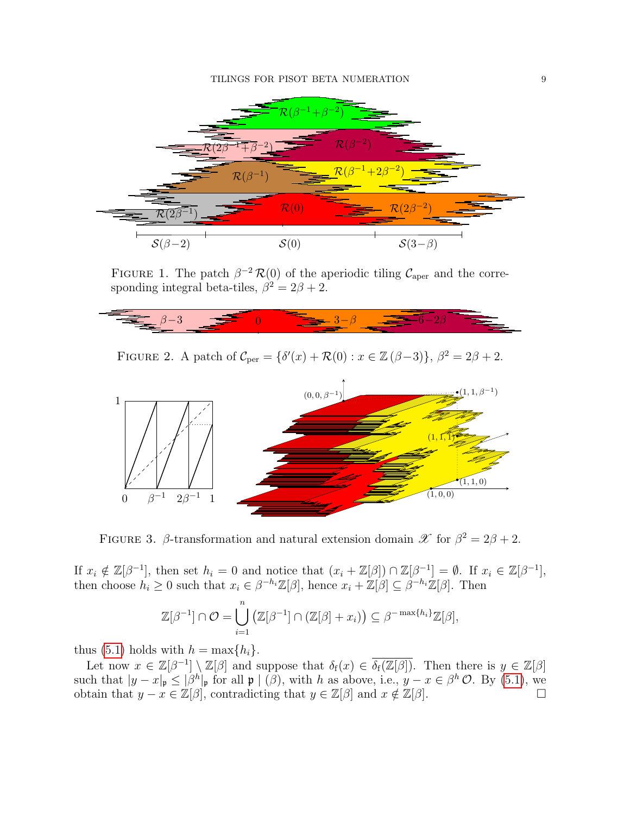

<span id="page-8-0"></span>FIGURE 1. The patch  $\beta^{-2} \mathcal{R}(0)$  of the aperiodic tiling  $\mathcal{C}_{\text{aper}}$  and the corresponding integral beta-tiles,  $\beta^2 = 2\beta + 2$ .



<span id="page-8-1"></span>FIGURE 2. A patch of  $C_{\text{per}} = {\delta'(x) + \mathcal{R}(0) : x \in \mathbb{Z}(\beta-3)}, \ \beta^2 = 2\beta + 2.$ 



<span id="page-8-2"></span>FIGURE 3.  $\beta$ -transformation and natural extension domain  $\mathscr{X}$  for  $\beta^2 = 2\beta + 2$ .

If  $x_i \notin \mathbb{Z}[\beta^{-1}]$ , then set  $h_i = 0$  and notice that  $(x_i + \mathbb{Z}[\beta]) \cap \mathbb{Z}[\beta^{-1}] = \emptyset$ . If  $x_i \in \mathbb{Z}[\beta^{-1}]$ , then choose  $h_i \geq 0$  such that  $x_i \in \beta^{-h_i} \mathbb{Z}[\beta]$ , hence  $x_i + \mathbb{Z}[\beta] \subseteq \beta^{-h_i} \mathbb{Z}[\beta]$ . Then

$$
\mathbb{Z}[\beta^{-1}] \cap \mathcal{O} = \bigcup_{i=1}^n (\mathbb{Z}[\beta^{-1}] \cap (\mathbb{Z}[\beta] + x_i)) \subseteq \beta^{-\max\{h_i\}} \mathbb{Z}[\beta],
$$

thus [\(5.1\)](#page-7-6) holds with  $h = \max\{h_i\}.$ 

Let now  $x \in \mathbb{Z}[\beta^{-1}] \setminus \mathbb{Z}[\beta]$  and suppose that  $\delta_f(x) \in \overline{\delta_f(\mathbb{Z}[\beta])}$ . Then there is  $y \in \mathbb{Z}[\beta]$ such that  $|y-x|_{\mathfrak{p}} \leq |\beta^h|_{\mathfrak{p}}$  for all  $\mathfrak{p} \mid (\beta)$ , with h as above, i.e.,  $y-x \in \beta^h \mathcal{O}$ . By [\(5.1\)](#page-7-6), we obtain that  $y - x \in \mathbb{Z}[\beta]$ , contradicting that  $y \in \mathbb{Z}[\beta]$  and  $x \notin \mathbb{Z}[\beta]$ .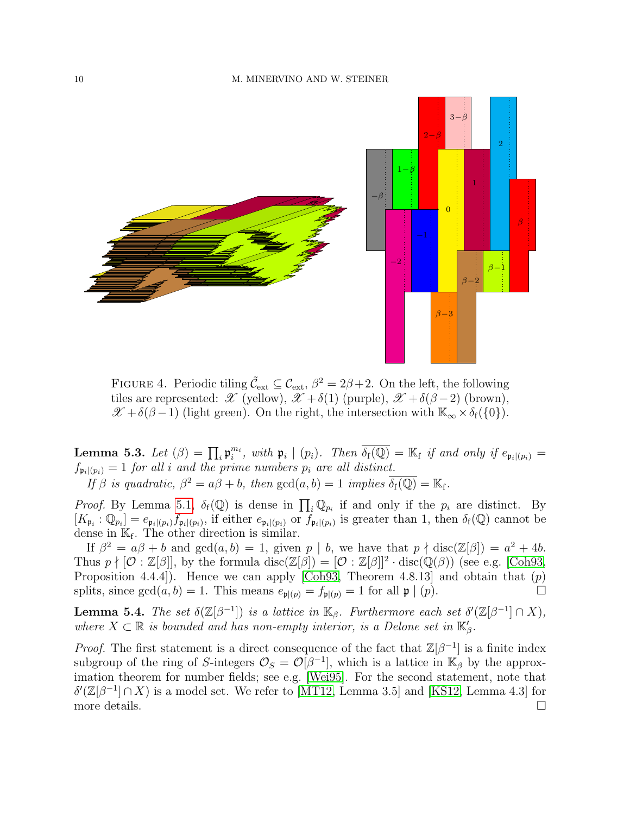

<span id="page-9-0"></span>FIGURE 4. Periodic tiling  $\tilde{\mathcal{C}}_{ext} \subseteq \mathcal{C}_{ext}$ ,  $\beta^2 = 2\beta + 2$ . On the left, the following tiles are represented:  $\mathscr{X}$  (yellow),  $\mathscr{X} + \delta(1)$  (purple),  $\mathscr{X} + \delta(\beta - 2)$  (brown),  $\mathscr{X} + \delta(\beta - 1)$  (light green). On the right, the intersection with  $\mathbb{K}_{\infty} \times \delta_f(\{0\})$ .

<span id="page-9-2"></span>**Lemma 5.3.** Let  $(\beta) = \prod_i \mathfrak{p}_i^{m_i}$ , with  $\mathfrak{p}_i \mid (p_i)$ . Then  $\overline{\delta_f(\mathbb{Q})} = \mathbb{K}_f$  if and only if  $e_{\mathfrak{p}_i|(p_i)} =$  $f_{\mathfrak{p}_i|(p_i)} = 1$  for all i and the prime numbers  $p_i$  are all distinct.

If  $\beta$  is quadratic,  $\beta^2 = a\beta + b$ , then  $gcd(a, b) = 1$  implies  $\overline{\delta_f(\mathbb{Q})} = \mathbb{K}_f$ .

*Proof.* By Lemma [5.1,](#page-7-7)  $\delta_f(\mathbb{Q})$  is dense in  $\prod_i \mathbb{Q}_{p_i}$  if and only if the  $p_i$  are distinct. By  $[K_{\mathfrak{p}_i} : \mathbb{Q}_{p_i}] = e_{\mathfrak{p}_i|(p_i)} f_{\mathfrak{p}_i|(p_i)}$ , if either  $e_{\mathfrak{p}_i|(p_i)}$  or  $f_{\mathfrak{p}_i|(p_i)}$  is greater than 1, then  $\delta_f(\mathbb{Q})$  cannot be dense in  $\mathbb{K}_{f}$ . The other direction is similar.

If  $\beta^2 = a\beta + b$  and  $gcd(a, b) = 1$ , given p | b, we have that  $p \nmid disc(\mathbb{Z}[\beta]) = a^2 + 4b$ . Thus  $p \nmid [\mathcal{O} : \mathbb{Z}[\beta]]$ , by the formula disc( $\mathbb{Z}[\beta] = [\mathcal{O} : \mathbb{Z}[\beta]]^2 \cdot \text{disc}(\mathbb{Q}(\beta))$  (see e.g. [\[Coh93,](#page-27-11) Proposition 4.4.4]). Hence we can apply [\[Coh93,](#page-27-11) Theorem 4.8.13] and obtain that  $(p)$ splits, since  $gcd(a, b) = 1$ . This means  $e_{\mathfrak{p} | (p)} = f_{\mathfrak{p} | (p)} = 1$  for all  $\mathfrak{p} | (p)$ .

<span id="page-9-1"></span>**Lemma 5.4.** The set  $\delta(\mathbb{Z}[\beta^{-1}])$  is a lattice in  $\mathbb{K}_{\beta}$ . Furthermore each set  $\delta'(\mathbb{Z}[\beta^{-1}] \cap X)$ , where  $X \subset \mathbb{R}$  is bounded and has non-empty interior, is a Delone set in  $\mathbb{K}_{\beta}'$ .

*Proof.* The first statement is a direct consequence of the fact that  $\mathbb{Z}[\beta^{-1}]$  is a finite index subgroup of the ring of S-integers  $\mathcal{O}_S = \mathcal{O}[\beta^{-1}]$ , which is a lattice in  $\mathbb{K}_{\beta}$  by the approximation theorem for number fields; see e.g. [\[Wei95\]](#page-28-15). For the second statement, note that  $\delta'(\mathbb{Z}[\beta^{-1}]\cap X)$  is a model set. We refer to [\[MT12,](#page-28-4) Lemma 3.5] and [\[KS12,](#page-28-14) Lemma 4.3] for more details.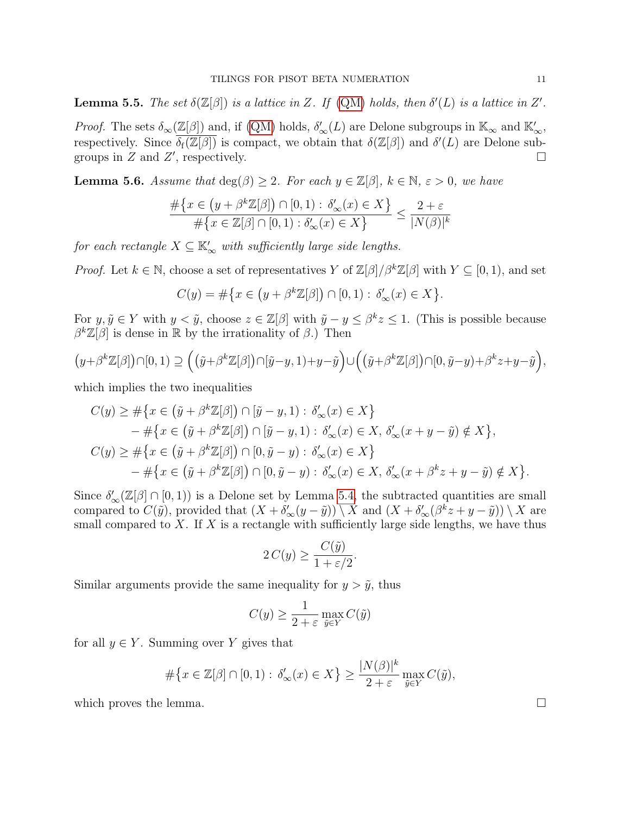<span id="page-10-1"></span>**Lemma 5.5.** The set  $\delta(\mathbb{Z}[\beta])$  is a lattice in Z. If [\(QM\)](#page-3-0) holds, then  $\delta'(L)$  is a lattice in Z'.

*Proof.* The sets  $\delta_{\infty}(\mathbb{Z}[\beta])$  and, if [\(QM\)](#page-3-0) holds,  $\delta_{\infty}'(L)$  are Delone subgroups in  $\mathbb{K}_{\infty}$  and  $\mathbb{K}_{\infty}'$ , respectively. Since  $\overline{\delta_f(\mathbb{Z}[\beta])}$  is compact, we obtain that  $\delta(\mathbb{Z}[\beta])$  and  $\delta'(L)$  are Delone subgroups in  $Z$  and  $Z'$ , respectively.

<span id="page-10-0"></span>**Lemma 5.6.** Assume that  $\deg(\beta) \geq 2$ . For each  $y \in \mathbb{Z}[\beta]$ ,  $k \in \mathbb{N}$ ,  $\varepsilon > 0$ , we have

$$
\frac{\#\{x \in (y + \beta^k \mathbb{Z}[\beta]) \cap [0,1) : \delta'_{\infty}(x) \in X\}}{\#\{x \in \mathbb{Z}[\beta] \cap [0,1) : \delta'_{\infty}(x) \in X\}} \le \frac{2+\varepsilon}{|N(\beta)|^k}
$$

for each rectangle  $X \subseteq \mathbb{K}'_{\infty}$  with sufficiently large side lengths.

*Proof.* Let  $k \in \mathbb{N}$ , choose a set of representatives Y of  $\mathbb{Z}[\beta]/\beta^k \mathbb{Z}[\beta]$  with  $Y \subseteq [0,1)$ , and set

$$
C(y) = \#\big\{x \in \big(y + \beta^k \mathbb{Z}[\beta]\big) \cap [0,1) : \delta'_{\infty}(x) \in X\big\}.
$$

For  $y, \tilde{y} \in Y$  with  $y < \tilde{y}$ , choose  $z \in \mathbb{Z}[\beta]$  with  $\tilde{y} - y \leq \beta^k z \leq 1$ . (This is possible because  $\beta^{k}\mathbb{Z}[\beta]$  is dense in  $\mathbb R$  by the irrationality of  $\beta$ .) Then

$$
(y+\beta^k\mathbb{Z}[\beta])\cap [0,1)\supseteq ((\tilde{y}+\beta^k\mathbb{Z}[\beta])\cap [\tilde{y}-y,1)+y-\tilde{y}\big)\cup ((\tilde{y}+\beta^k\mathbb{Z}[\beta])\cap [0,\tilde{y}-y)+\beta^kz+y-\tilde{y}\big),
$$

which implies the two inequalities

$$
C(y) \geq \#\{x \in (\tilde{y} + \beta^k \mathbb{Z}[\beta]) \cap [\tilde{y} - y, 1) : \delta'_{\infty}(x) \in X\}
$$
  
\n
$$
-\#\{x \in (\tilde{y} + \beta^k \mathbb{Z}[\beta]) \cap [\tilde{y} - y, 1) : \delta'_{\infty}(x) \in X, \delta'_{\infty}(x + y - \tilde{y}) \notin X\},\
$$
  
\n
$$
C(y) \geq \#\{x \in (\tilde{y} + \beta^k \mathbb{Z}[\beta]) \cap [0, \tilde{y} - y) : \delta'_{\infty}(x) \in X\}
$$
  
\n
$$
-\#\{x \in (\tilde{y} + \beta^k \mathbb{Z}[\beta]) \cap [0, \tilde{y} - y) : \delta'_{\infty}(x) \in X, \delta'_{\infty}(x + \beta^k z + y - \tilde{y}) \notin X\}.
$$

Since  $\delta'_{\infty}(\mathbb{Z}[\beta] \cap [0,1))$  is a Delone set by Lemma [5.4,](#page-9-1) the subtracted quantities are small compared to  $C(\tilde{y})$ , provided that  $(X + \delta'_{\infty}(y - \tilde{y})) \setminus X$  and  $(X + \delta'_{\infty}(\beta^k z + y - \tilde{y})) \setminus X$  are small compared to  $X$ . If  $X$  is a rectangle with sufficiently large side lengths, we have thus

$$
2C(y) \ge \frac{C(\tilde{y})}{1 + \varepsilon/2}.
$$

Similar arguments provide the same inequality for  $y > \tilde{y}$ , thus

$$
C(y) \ge \frac{1}{2 + \varepsilon} \max_{\tilde{y} \in Y} C(\tilde{y})
$$

for all  $y \in Y$ . Summing over Y gives that

$$
\#\big\{x\in\mathbb{Z}[\beta]\cap[0,1):\,\delta'_\infty(x)\in X\big\}\geq\frac{|N(\beta)|^k}{2+\varepsilon}\max_{\tilde{y}\in Y}C(\tilde{y}),
$$

which proves the lemma.  $\Box$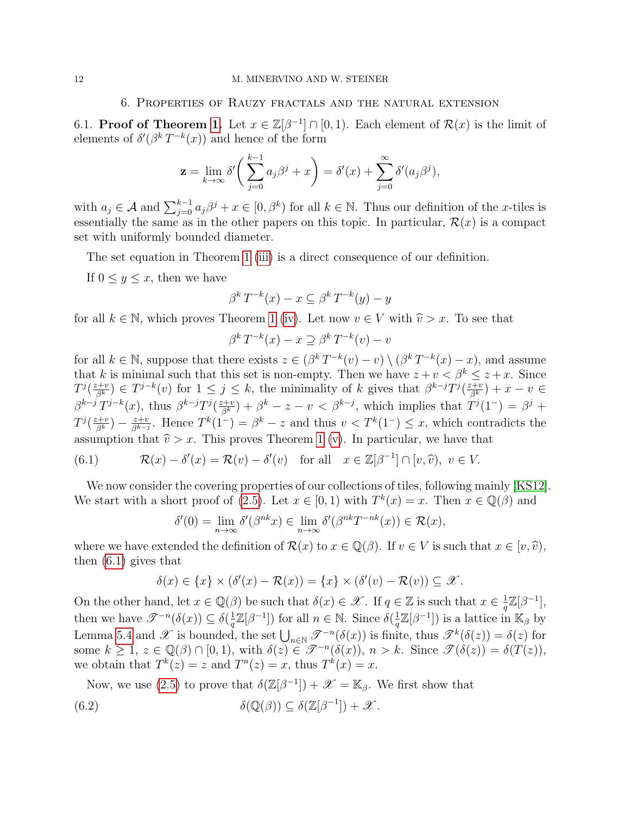## 6. Properties of Rauzy fractals and the natural extension

<span id="page-11-1"></span><span id="page-11-0"></span>6.1. **Proof of Theorem [1.](#page-5-0)** Let  $x \in \mathbb{Z}[\beta^{-1}] \cap [0,1]$ . Each element of  $\mathcal{R}(x)$  is the limit of elements of  $\delta'(\beta^k T^{-k}(x))$  and hence of the form

$$
\mathbf{z} = \lim_{k \to \infty} \delta' \bigg( \sum_{j=0}^{k-1} a_j \beta^j + x \bigg) = \delta'(x) + \sum_{j=0}^{\infty} \delta'(a_j \beta^j),
$$

with  $a_j \in \mathcal{A}$  and  $\sum_{j=0}^{k-1} a_j \beta^j + x \in [0, \beta^k)$  for all  $k \in \mathbb{N}$ . Thus our definition of the *x*-tiles is essentially the same as in the other papers on this topic. In particular,  $\mathcal{R}(x)$  is a compact set with uniformly bounded diameter.

The set equation in Theorem [1](#page-5-0) [\(iii\)](#page-5-3) is a direct consequence of our definition.

If  $0 \leq y \leq x$ , then we have

$$
\beta^k T^{-k}(x) - x \subseteq \beta^k T^{-k}(y) - y
$$

for all  $k \in \mathbb{N}$ , which proves Theorem [1](#page-5-0) [\(iv\)](#page-5-4). Let now  $v \in V$  with  $\hat{v} > x$ . To see that

$$
\beta^k T^{-k}(x) - x \supseteq \beta^k T^{-k}(v) - v
$$

for all  $k \in \mathbb{N}$ , suppose that there exists  $z \in (\beta^k T^{-k}(v) - v) \setminus (\beta^k T^{-k}(x) - x)$ , and assume that k is minimal such that this set is non-empty. Then we have  $z + v < \beta^k \leq z + x$ . Since  $T^{j}(\frac{z+v}{\beta^k}) \in T^{j-k}(v)$  for  $1 \leq j \leq k$ , the minimality of k gives that  $\beta^{k-j}T^{j}(\frac{z+v}{\beta^k}) + x - v \in$  $\beta^{k-j}T^{j-k}(x)$ , thus  $\beta^{k-j}T^j(\frac{z+v}{\beta^k}) + \beta^k - z - v < \beta^{k-j}$ , which implies that  $T^j(1^-) = \beta^j + z$  $T^j(\frac{z+v}{\beta^k})-\frac{z+v}{\beta^{k-j}}$  $\frac{z+v}{\beta^{k-j}}$ . Hence  $T^k(1^-) = \beta^k - z$  and thus  $v < T^k(1^-) \leq x$ , which contradicts the assumption that  $\hat{v} > x$ . This proves Theorem [1](#page-5-0) [\(v\)](#page-5-5). In particular, we have that

<span id="page-11-2"></span>(6.1) 
$$
\mathcal{R}(x) - \delta'(x) = \mathcal{R}(v) - \delta'(v) \quad \text{for all} \quad x \in \mathbb{Z}[\beta^{-1}] \cap [v, \widehat{v}), \ v \in V.
$$

We now consider the covering properties of our collections of tiles, following mainly [\[KS12\]](#page-28-14). We start with a short proof of [\(2.5\)](#page-5-6). Let  $x \in [0,1)$  with  $T^k(x) = x$ . Then  $x \in \mathbb{Q}(\beta)$  and

$$
\delta'(0) = \lim_{n \to \infty} \delta'(\beta^{nk} x) \in \lim_{n \to \infty} \delta'(\beta^{nk} T^{-nk}(x)) \in \mathcal{R}(x),
$$

where we have extended the definition of  $\mathcal{R}(x)$  to  $x \in \mathbb{Q}(\beta)$ . If  $v \in V$  is such that  $x \in [v, \hat{v})$ , then [\(6.1\)](#page-11-2) gives that

<span id="page-11-3"></span>
$$
\delta(x) \in \{x\} \times (\delta'(x) - \mathcal{R}(x)) = \{x\} \times (\delta'(v) - \mathcal{R}(v)) \subseteq \mathscr{X}.
$$

On the other hand, let  $x \in \mathbb{Q}(\beta)$  be such that  $\delta(x) \in \mathscr{X}$ . If  $q \in \mathbb{Z}$  is such that  $x \in \frac{1}{q}$  $\frac{1}{q}\mathbb{Z}[\beta^{-1}],$ then we have  $\mathscr{T}^{-n}(\delta(x)) \subseteq \delta(\frac{1}{a})$  $\frac{1}{q}\mathbb{Z}[\beta^{-1}]$ ) for all  $n \in \mathbb{N}$ . Since  $\delta(\frac{1}{q})$  $\frac{1}{q}\mathbb{Z}[\beta^{-1}]$ ) is a lattice in  $\mathbb{K}_{\beta}$  by Lemma [5.4](#page-9-1) and  $\mathscr X$  is bounded, the set  $\bigcup_{n\in\mathbb N}\mathscr T^{-n}(\delta(x))$  is finite, thus  $\mathscr T^k(\delta(z))=\delta(z)$  for some  $k \geq 1$ ,  $z \in \mathbb{Q}(\beta) \cap [0,1)$ , with  $\delta(z) \in \mathscr{T}^{-n}(\delta(x))$ ,  $n > k$ . Since  $\mathscr{T}(\delta(z)) = \delta(T(z))$ , we obtain that  $T^k(z) = z$  and  $T^n(z) = x$ , thus  $T^k(x) = x$ .

Now, we use [\(2.5\)](#page-5-6) to prove that  $\delta(\mathbb{Z}[\beta^{-1}]) + \mathscr{X} = \mathbb{K}_{\beta}$ . We first show that

(6.2) 
$$
\delta(\mathbb{Q}(\beta)) \subseteq \delta(\mathbb{Z}[\beta^{-1}]) + \mathscr{X}.
$$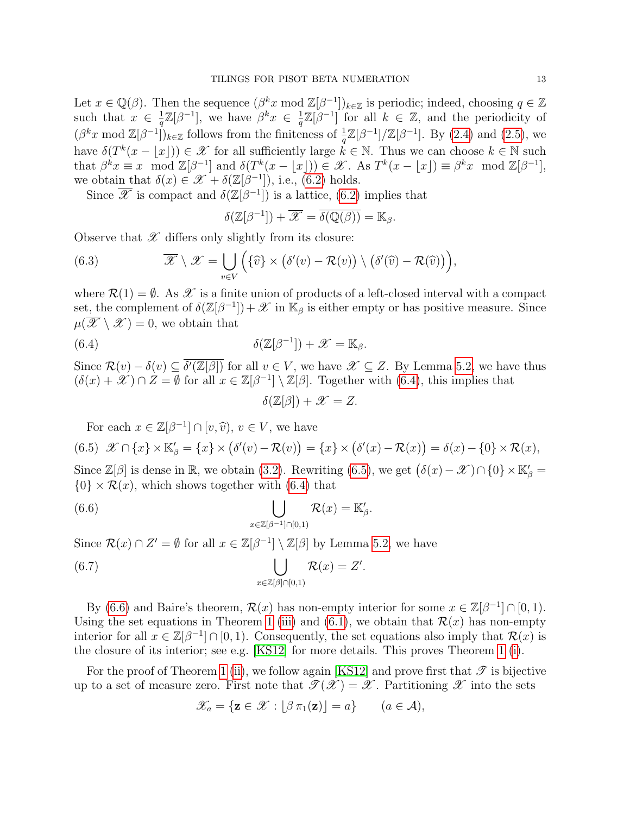Let  $x \in \mathbb{Q}(\beta)$ . Then the sequence  $(\beta^k x \mod \mathbb{Z}[\beta^{-1}])_{k \in \mathbb{Z}}$  is periodic; indeed, choosing  $q \in \mathbb{Z}$ such that  $x \in \frac{1}{a}$  $\frac{1}{q}\mathbb{Z}[\beta^{-1}],$  we have  $\beta^k x \in \frac{1}{q}$  $\frac{1}{q}\mathbb{Z}[\beta^{-1}]$  for all  $k \in \mathbb{Z}$ , and the periodicity of  $(\beta^k x \mod \mathbb{Z}[\beta^{-1}])_{k \in \mathbb{Z}}$  follows from the finiteness of  $\frac{1}{q}\mathbb{Z}[\beta^{-1}]/\mathbb{Z}[\beta^{-1}]$ . By [\(2.4\)](#page-4-0) and [\(2.5\)](#page-5-6), we have  $\delta(T^k(x - \lfloor x \rfloor)) \in \mathscr{X}$  for all sufficiently large  $k \in \mathbb{N}$ . Thus we can choose  $k \in \mathbb{N}$  such that  $\beta^k x \equiv x \mod \mathbb{Z}[\beta^{-1}]$  and  $\delta(T^k(x - \lfloor x \rfloor)) \in \mathcal{X}$ . As  $T^k(x - \lfloor x \rfloor) \equiv \beta^k x \mod \mathbb{Z}[\beta^{-1}]$ , we obtain that  $\delta(x) \in \mathscr{X} + \delta(\mathbb{Z}[\beta^{-1}])$ , i.e., [\(6.2\)](#page-11-3) holds.

Since  $\overline{\mathscr{X}}$  is compact and  $\delta(\mathbb{Z}[\beta^{-1}])$  is a lattice, [\(6.2\)](#page-11-3) implies that

$$
\delta(\mathbb{Z}[\beta^{-1}]) + \overline{\mathscr{X}} = \overline{\delta(\mathbb{Q}(\beta))} = \mathbb{K}_{\beta}.
$$

Observe that  $\mathscr X$  differs only slightly from its closure:

(6.3) 
$$
\overline{\mathscr{X}} \setminus \mathscr{X} = \bigcup_{v \in V} \Big( \{\widehat{v}\} \times (\delta'(v) - \mathcal{R}(v)) \setminus (\delta'(\widehat{v}) - \mathcal{R}(\widehat{v})) \Big),
$$

where  $\mathcal{R}(1) = \emptyset$ . As  $\mathcal X$  is a finite union of products of a left-closed interval with a compact set, the complement of  $\delta(\mathbb{Z}[\beta^{-1}]) + \mathscr{X}$  in  $\mathbb{K}_{\beta}$  is either empty or has positive measure. Since  $\mu(\overline{\mathscr{X}} \setminus \mathscr{X}) = 0$ , we obtain that

(6.4) 
$$
\delta(\mathbb{Z}[\beta^{-1}]) + \mathscr{X} = \mathbb{K}_{\beta}.
$$

Since  $\mathcal{R}(v) - \delta(v) \subseteq \overline{\delta'(\mathbb{Z}[\beta])}$  for all  $v \in V$ , we have  $\mathscr{X} \subseteq Z$ . By Lemma [5.2,](#page-7-8) we have thus  $(\delta(x) + \mathscr{X}) \cap Z = \emptyset$  for all  $x \in \mathbb{Z}[\beta^{-1}] \setminus \mathbb{Z}[\beta]$ . Together with  $(6.4)$ , this implies that

<span id="page-12-2"></span><span id="page-12-0"></span>
$$
\delta(\mathbb{Z}[\beta]) + \mathscr{X} = Z.
$$

<span id="page-12-1"></span>For each  $x \in \mathbb{Z}[\beta^{-1}] \cap [v, \hat{v}), v \in V$ , we have (6.5)  $\mathscr{X} \cap \{x\} \times \mathbb{K}'_{\beta} = \{x\} \times (\delta'(v) - \mathcal{R}(v)) = \{x\} \times (\delta'(x) - \mathcal{R}(x)) = \delta(x) - \{0\} \times \mathcal{R}(x),$ 

Since  $\mathbb{Z}[\beta]$  is dense in  $\mathbb{R}$ , we obtain [\(3.2\)](#page-5-7). Rewriting [\(6.5\)](#page-12-1), we get  $(\delta(x) - \mathscr{X}) \cap \{0\} \times \mathbb{K}_{\beta}' =$  $\{0\} \times \mathcal{R}(x)$ , which shows together with [\(6.4\)](#page-12-0) that

(6.6) 
$$
\bigcup_{x \in \mathbb{Z}[\beta^{-1}] \cap [0,1)} \mathcal{R}(x) = \mathbb{K}'_{\beta}.
$$

Since  $\mathcal{R}(x) \cap Z' = \emptyset$  for all  $x \in \mathbb{Z}[\beta^{-1}] \setminus \mathbb{Z}[\beta]$  by Lemma [5.2,](#page-7-8) we have

(6.7) 
$$
\bigcup_{x \in \mathbb{Z}[\beta] \cap [0,1)} \mathcal{R}(x) = Z'.
$$

By [\(6.6\)](#page-12-2) and Baire's theorem,  $\mathcal{R}(x)$  has non-empty interior for some  $x \in \mathbb{Z}[\beta^{-1}] \cap [0,1)$ . Using the set equations in Theorem [1](#page-5-0) [\(iii\)](#page-5-3) and [\(6.1\)](#page-11-2), we obtain that  $\mathcal{R}(x)$  has non-empty interior for all  $x \in \mathbb{Z}[\beta^{-1}] \cap [0,1)$ . Consequently, the set equations also imply that  $\mathcal{R}(x)$  is the closure of its interior; see e.g. [\[KS12\]](#page-28-14) for more details. This proves Theorem [1](#page-5-0) [\(i\)](#page-5-8).

For the proof of Theorem [1](#page-5-0) [\(ii\)](#page-5-9), we follow again [\[KS12\]](#page-28-14) and prove first that  $\mathscr T$  is bijective up to a set of measure zero. First note that  $\mathscr{T}(\mathscr{X}) = \mathscr{X}$ . Partitioning  $\mathscr{X}$  into the sets

<span id="page-12-3"></span>
$$
\mathscr{X}_a = \{ \mathbf{z} \in \mathscr{X} : \lfloor \beta \pi_1(\mathbf{z}) \rfloor = a \} \qquad (a \in \mathcal{A}),
$$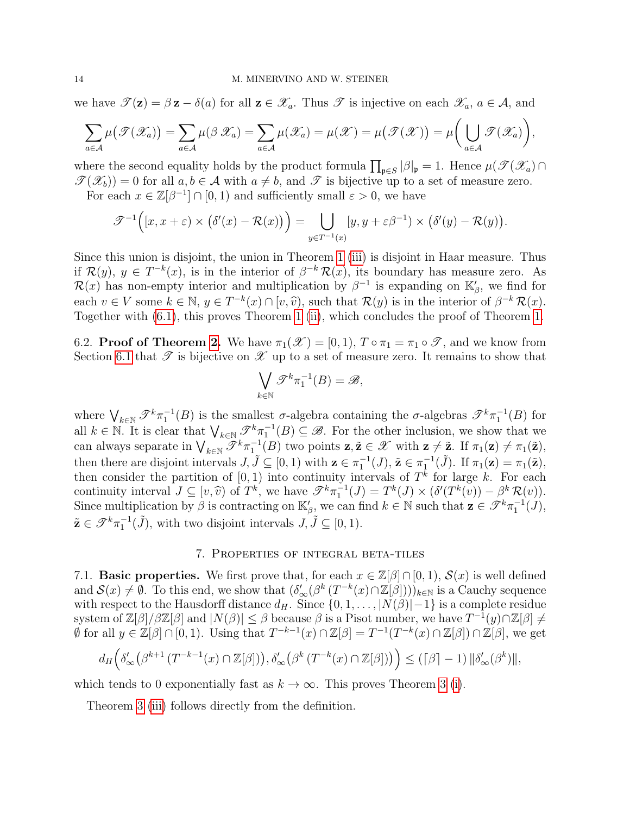we have  $\mathscr{T}(\mathbf{z}) = \beta \mathbf{z} - \delta(a)$  for all  $\mathbf{z} \in \mathscr{X}_a$ . Thus  $\mathscr{T}$  is injective on each  $\mathscr{X}_a, a \in \mathcal{A}$ , and

$$
\sum_{a\in\mathcal{A}}\mu(\mathcal{F}(\mathcal{X}_a))=\sum_{a\in\mathcal{A}}\mu(\beta\mathcal{X}_a)=\sum_{a\in\mathcal{A}}\mu(\mathcal{X}_a)=\mu(\mathcal{X})=\mu(\mathcal{F}(\mathcal{X}))=\mu\bigg(\bigcup_{a\in\mathcal{A}}\mathcal{F}(\mathcal{X}_a)\bigg),
$$

where the second equality holds by the product formula  $\prod_{\mathfrak{p}\in S} |\beta|_{\mathfrak{p}} = 1$ . Hence  $\mu(\mathscr{T}(\mathscr{X}_a)\cap$  $\mathscr{T}(\mathscr{X}_b) = 0$  for all  $a, b \in \mathcal{A}$  with  $a \neq b$ , and  $\mathscr{T}$  is bijective up to a set of measure zero.

For each  $x \in \mathbb{Z}[\beta^{-1}] \cap [0,1)$  and sufficiently small  $\varepsilon > 0$ , we have

$$
\mathscr{T}^{-1}\Big([x,x+\varepsilon)\times(\delta'(x)-\mathcal{R}(x)\big)\Big)=\bigcup_{y\in T^{-1}(x)}[y,y+\varepsilon\beta^{-1})\times(\delta'(y)-\mathcal{R}(y)).
$$

Since this union is disjoint, the union in Theorem [1](#page-5-0) [\(iii\)](#page-5-3) is disjoint in Haar measure. Thus if  $\mathcal{R}(y), y \in T^{-k}(x)$ , is in the interior of  $\beta^{-k}\mathcal{R}(x)$ , its boundary has measure zero. As  $\mathcal{R}(x)$  has non-empty interior and multiplication by  $\beta^{-1}$  is expanding on  $\mathbb{K}'_{\beta}$ , we find for each  $v \in V$  some  $k \in \mathbb{N}$ ,  $y \in T^{-k}(x) \cap [v, \hat{v})$ , such that  $\mathcal{R}(y)$  is in the interior of  $\beta^{-k} \mathcal{R}(x)$ .<br>Together with (6.1), this proves Theorem 1 (ii), which concludes the proof of Theorem 1 Together with [\(6.1\)](#page-11-2), this proves Theorem [1](#page-5-0) [\(ii\)](#page-5-9), which concludes the proof of Theorem [1.](#page-5-0)

6.2. **Proof of Theorem [2.](#page-6-0)** We have  $\pi_1(\mathscr{X}) = [0, 1), T \circ \pi_1 = \pi_1 \circ \mathscr{T}$ , and we know from Section [6.1](#page-11-1) that  $\mathscr T$  is bijective on  $\mathscr X$  up to a set of measure zero. It remains to show that

$$
\bigvee_{k \in \mathbb{N}} \mathscr{T}^k \pi_1^{-1}(B) = \mathscr{B},
$$

where  $\bigvee_{k\in\mathbb{N}}\mathscr{T}^k\pi_1^{-1}(B)$  is the smallest  $\sigma$ -algebra containing the  $\sigma$ -algebras  $\mathscr{T}^k\pi_1^{-1}(B)$  for all  $k \in \mathbb{N}$ . It is clear that  $\bigvee_{k \in \mathbb{N}} \mathscr{T}^k \pi_1^{-1}(B) \subseteq \mathscr{B}$ . For the other inclusion, we show that we can always separate in  $\bigvee_{k\in\mathbb{N}}\mathscr{T}^k\pi_1^{-1}(B)$  two points  $\mathbf{z}, \tilde{\mathbf{z}} \in \mathscr{X}$  with  $\mathbf{z} \neq \tilde{\mathbf{z}}$ . If  $\pi_1(\mathbf{z}) \neq \pi_1(\tilde{\mathbf{z}})$ , then there are disjoint intervals  $J, \tilde{J} \subseteq [0, 1)$  with  $\mathbf{z} \in \pi_1^{-1}(J), \tilde{\mathbf{z}} \in \pi_1^{-1}(\tilde{J})$ . If  $\pi_1(\mathbf{z}) = \pi_1(\tilde{\mathbf{z}})$ , then consider the partition of  $[0, 1)$  into continuity intervals of  $T<sup>k</sup>$  for large k. For each continuity interval  $J \subseteq [v, \hat{v})$  of  $T^k$ , we have  $\mathscr{T}^k \pi_1^{-1}(J) = T^k(J) \times (\delta'(T^k(v)) - \beta^k \mathcal{R}(v)).$ <br>Since multipliesting by  $\beta$  is contracting on  $K'$ , we can find  $k \in \mathbb{N}$  such that  $\pi \in \mathscr{T}^k \pi^{-1}(J)$ . Since multiplication by  $\beta$  is contracting on  $\mathbb{K}'_{\beta}$ , we can find  $k \in \mathbb{N}$  such that  $\mathbf{z} \in \mathscr{T}^k \pi_1^{-1}(J)$ ,  $\tilde{\mathbf{z}} \in \mathscr{T}^k \pi_1^{-1}(\tilde{J}),$  with two disjoint intervals  $J, \tilde{J} \subseteq [0, 1)$ .

### 7. Properties of integral beta-tiles

<span id="page-13-0"></span>7.1. **Basic properties.** We first prove that, for each  $x \in \mathbb{Z}[\beta] \cap [0, 1)$ ,  $\mathcal{S}(x)$  is well defined and  $\mathcal{S}(x) \neq \emptyset$ . To this end, we show that  $(\delta'_{\infty}(\beta^k(T^{-k}(x) \cap \mathbb{Z}[\beta]))_{k \in \mathbb{N}}$  is a Cauchy sequence with respect to the Hausdorff distance  $d_H$ . Since  $\{0, 1, \ldots, |N(\beta)|-1\}$  is a complete residue system of  $\mathbb{Z}[\beta]/\beta \mathbb{Z}[\beta]$  and  $|N(\beta)| \leq \beta$  because  $\beta$  is a Pisot number, we have  $T^{-1}(y) \cap \mathbb{Z}[\beta] \neq 0$  $\emptyset$  for all  $y \in \mathbb{Z}[\beta] \cap [0,1)$ . Using that  $T^{-k-1}(x) \cap \mathbb{Z}[\beta] = T^{-1}(T^{-k}(x) \cap \mathbb{Z}[\beta]) \cap \mathbb{Z}[\beta]$ , we get

$$
d_H\Big(\delta'_{\infty}\big(\beta^{k+1}\left(T^{-k-1}(x)\cap\mathbb{Z}[\beta]\right)\big),\delta'_{\infty}\big(\beta^{k}\left(T^{-k}(x)\cap\mathbb{Z}[\beta]\right)\big)\Big) \leq \left(\lceil \beta \rceil-1\right) \|\delta'_{\infty}(\beta^{k})\|,
$$

which tends to 0 exponentially fast as  $k \to \infty$ . This proves Theorem [3](#page-6-1) [\(i\)](#page-6-4).

Theorem [3](#page-6-1) [\(iii\)](#page-6-5) follows directly from the definition.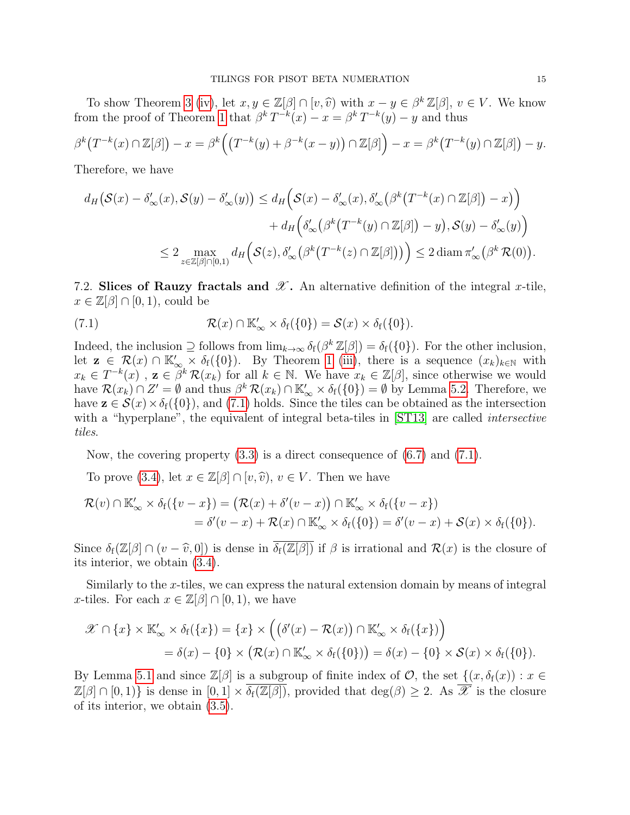To show Theorem [3](#page-6-1) [\(iv\)](#page-6-6), let  $x, y \in \mathbb{Z}[\beta] \cap [v, \hat{v})$  with  $x - y \in \beta^k \mathbb{Z}[\beta]$ ,  $v \in V$ . We know from the proof of Theorem [1](#page-5-0) that  $\beta^k T^{-k}(x) - x = \beta^k T^{-k}(y) - y$  and thus

$$
\beta^k \big(T^{-k}(x) \cap \mathbb{Z}[\beta]\big) - x = \beta^k \Big(\big(T^{-k}(y) + \beta^{-k}(x-y)\big) \cap \mathbb{Z}[\beta]\Big) - x = \beta^k \big(T^{-k}(y) \cap \mathbb{Z}[\beta]\big) - y.
$$

Therefore, we have

$$
d_H(\mathcal{S}(x) - \delta'_{\infty}(x), \mathcal{S}(y) - \delta'_{\infty}(y)) \le d_H\Big(\mathcal{S}(x) - \delta'_{\infty}(x), \delta'_{\infty}\big(\beta^k\big(T^{-k}(x) \cap \mathbb{Z}[\beta]\big) - x\big)\Big) + d_H\Big(\delta'_{\infty}\big(\beta^k\big(T^{-k}(y) \cap \mathbb{Z}[\beta]\big) - y\big), \mathcal{S}(y) - \delta'_{\infty}(y)\Big) \le 2 \max_{z \in \mathbb{Z}[\beta] \cap [0,1)} d_H\Big(\mathcal{S}(z), \delta'_{\infty}\big(\beta^k\big(T^{-k}(z) \cap \mathbb{Z}[\beta]\big)\big)\Big) \le 2 \operatorname{diam} \pi'_{\infty}\big(\beta^k\mathcal{R}(0)\big).
$$

7.2. Slices of Rauzy fractals and  $\mathscr X$ . An alternative definition of the integral x-tile,  $x \in \mathbb{Z}[\beta] \cap [0,1)$ , could be

<span id="page-14-0"></span>(7.1) 
$$
\mathcal{R}(x) \cap \mathbb{K}'_{\infty} \times \delta_f(\{0\}) = \mathcal{S}(x) \times \delta_f(\{0\}).
$$

Indeed, the inclusion  $\supseteq$  follows from  $\lim_{k\to\infty} \delta_f(\beta^k \mathbb{Z}[\beta]) = \delta_f(\{0\})$ . For the other inclusion, let  $\mathbf{z} \in \mathcal{R}(x) \cap \mathbb{K}_{\infty}^{\prime} \times \delta_{f}(\{0\}).$  By Theorem [1](#page-5-0) [\(iii\)](#page-5-3), there is a sequence  $(x_k)_{k\in\mathbb{N}}$  with  $x_k \in T^{-k}(x)$ ,  $z \in \tilde{\beta}^k \mathcal{R}(x_k)$  for all  $k \in \mathbb{N}$ . We have  $x_k \in \mathbb{Z}[\beta]$ , since otherwise we would have  $\mathcal{R}(x_k) \cap Z' = \emptyset$  and thus  $\beta^k \mathcal{R}(x_k) \cap \mathbb{K}'_{\infty} \times \delta_f(\{0\}) = \emptyset$  by Lemma [5.2.](#page-7-8) Therefore, we have  $\mathbf{z} \in \mathcal{S}(x) \times \delta_f(\{0\})$ , and [\(7.1\)](#page-14-0) holds. Since the tiles can be obtained as the intersection with a "hyperplane", the equivalent of integral beta-tiles in [\[ST13\]](#page-28-10) are called *intersective* tiles.

Now, the covering property  $(3.3)$  is a direct consequence of  $(6.7)$  and  $(7.1)$ .

To prove [\(3.4\)](#page-6-8), let  $x \in \mathbb{Z}[\beta] \cap [v, \hat{v}), v \in V$ . Then we have

$$
\mathcal{R}(v) \cap \mathbb{K}'_{\infty} \times \delta_f(\{v - x\}) = (\mathcal{R}(x) + \delta'(v - x)) \cap \mathbb{K}'_{\infty} \times \delta_f(\{v - x\})
$$
  
=  $\delta'(v - x) + \mathcal{R}(x) \cap \mathbb{K}'_{\infty} \times \delta_f(\{0\}) = \delta'(v - x) + \mathcal{S}(x) \times \delta_f(\{0\}).$ 

Since  $\delta_f(\mathbb{Z}[\beta] \cap (v - \widehat{v}, 0])$  is dense in  $\overline{\delta_f(\mathbb{Z}[\beta])}$  if  $\beta$  is irrational and  $\mathcal{R}(x)$  is the closure of its interior, we obtain [\(3.4\)](#page-6-8).

Similarly to the x-tiles, we can express the natural extension domain by means of integral x-tiles. For each  $x \in \mathbb{Z}[\beta] \cap [0,1)$ , we have

$$
\mathscr{X} \cap \{x\} \times \mathbb{K}'_{\infty} \times \delta_{f}(\{x\}) = \{x\} \times \Big( \big( \delta'(x) - \mathcal{R}(x) \big) \cap \mathbb{K}'_{\infty} \times \delta_{f}(\{x\}) \Big) \n= \delta(x) - \{0\} \times \big( \mathcal{R}(x) \cap \mathbb{K}'_{\infty} \times \delta_{f}(\{0\}) \big) = \delta(x) - \{0\} \times \mathcal{S}(x) \times \delta_{f}(\{0\}).
$$

By Lemma [5.1](#page-7-7) and since  $\mathbb{Z}[\beta]$  is a subgroup of finite index of  $\mathcal{O}$ , the set  $\{(x,\delta_f(x)) : x \in$  $\mathbb{Z}[\beta] \cap [0,1]$  is dense in  $[0,1] \times \overline{\delta_f(\mathbb{Z}[\beta])}$ , provided that  $\deg(\beta) \geq 2$ . As  $\overline{\mathscr{X}}$  is the closure of its interior, we obtain [\(3.5\)](#page-6-9).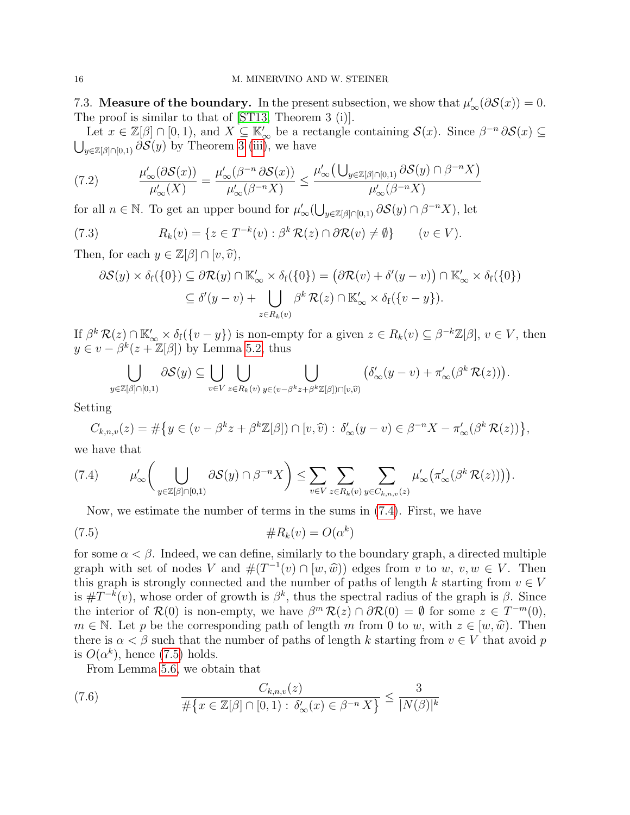7.3. **Measure of the boundary.** In the present subsection, we show that  $\mu'_{\infty}(\partial \mathcal{S}(x)) = 0$ . The proof is similar to that of [\[ST13,](#page-28-10) Theorem 3 (i)].

Let  $x \in \mathbb{Z}[\beta] \cap [0,1)$ , and  $X \subseteq \mathbb{K}'_{\infty}$  be a rectangle containing  $\mathcal{S}(x)$ . Since  $\beta^{-n} \partial \mathcal{S}(x) \subseteq$  $\bigcup_{y\in\mathbb{Z}[\beta]\cap[0,1)}\partial\mathcal{S}(y)$  by Theorem [3](#page-6-1) [\(iii\)](#page-5-3), we have

<span id="page-15-2"></span>(7.2) 
$$
\frac{\mu'_{\infty}(\partial S(x))}{\mu'_{\infty}(X)} = \frac{\mu'_{\infty}(\beta^{-n}\partial S(x))}{\mu'_{\infty}(\beta^{-n}X)} \leq \frac{\mu'_{\infty}(\bigcup_{y\in\mathbb{Z}[\beta]\cap[0,1)}\partial S(y)\cap\beta^{-n}X)}{\mu'_{\infty}(\beta^{-n}X)}
$$

for all  $n \in \mathbb{N}$ . To get an upper bound for  $\mu'_{\infty}(\bigcup_{y \in \mathbb{Z}[\beta] \cap [0,1]} \partial S(y) \cap \beta^{-n} X)$ , let

(7.3) 
$$
R_k(v) = \{ z \in T^{-k}(v) : \beta^k \mathcal{R}(z) \cap \partial \mathcal{R}(v) \neq \emptyset \} \qquad (v \in V).
$$

Then, for each  $y \in \mathbb{Z}[\beta] \cap [v, \hat{v}],$ 

<span id="page-15-3"></span>
$$
\partial S(y) \times \delta_f(\{0\}) \subseteq \partial \mathcal{R}(y) \cap \mathbb{K}'_{\infty} \times \delta_f(\{0\}) = (\partial \mathcal{R}(v) + \delta'(y - v)) \cap \mathbb{K}'_{\infty} \times \delta_f(\{0\})
$$
  

$$
\subseteq \delta'(y - v) + \bigcup_{z \in R_k(v)} \beta^k \mathcal{R}(z) \cap \mathbb{K}'_{\infty} \times \delta_f(\{v - y\}).
$$

If  $\beta^k \mathcal{R}(z) \cap \mathbb{K}'_{\infty} \times \delta_f(\{v - y\})$  is non-empty for a given  $z \in R_k(v) \subseteq \beta^{-k}\mathbb{Z}[\beta], v \in V$ , then  $y \in v - \beta^{k}(z + \mathbb{Z}[\beta])$  by Lemma [5.2,](#page-7-8) thus

$$
\bigcup_{y \in \mathbb{Z}[\beta] \cap [0,1)} \partial \mathcal{S}(y) \subseteq \bigcup_{v \in V} \bigcup_{z \in R_k(v)} \bigcup_{y \in (v - \beta^k z + \beta^k \mathbb{Z}[\beta]) \cap [v,\widehat{v})} \left( \delta'_{\infty}(y-v) + \pi'_{\infty}(\beta^k \mathcal{R}(z)) \right).
$$

Setting

$$
C_{k,n,v}(z) = \#\big\{y \in (v - \beta^k z + \beta^k \mathbb{Z}[\beta]) \cap [v,\widehat{v}) : \delta'_{\infty}(y - v) \in \beta^{-n} X - \pi'_{\infty}(\beta^k \mathcal{R}(z))\big\},\,
$$

we have that

<span id="page-15-0"></span>
$$
(7.4) \qquad \mu'_{\infty}\bigg(\bigcup_{y\in\mathbb{Z}[\beta]\cap[0,1)}\partial\mathcal{S}(y)\cap\beta^{-n}X\bigg)\leq \sum_{v\in V}\sum_{z\in R_k(v)}\sum_{y\in C_{k,n,v}(z)}\mu'_{\infty}\big(\pi'_{\infty}(\beta^k\mathcal{R}(z))\big)\big).
$$

<span id="page-15-1"></span>Now, we estimate the number of terms in the sums in [\(7.4\)](#page-15-0). First, we have

$$
(7.5) \qquad \qquad \#R_k(v) = O(\alpha^k)
$$

for some  $\alpha < \beta$ . Indeed, we can define, similarly to the boundary graph, a directed multiple graph with set of nodes V and  $#(T^{-1}(v) \cap [w, \hat{w}))$  edges from v to w,  $v, w \in V$ . Then<br>this graph is strongly connected and the number of paths of length k starting from  $v \in V$ . this graph is strongly connected and the number of paths of length k starting from  $v \in V$ is  $\#T^{-k}(v)$ , whose order of growth is  $\beta^k$ , thus the spectral radius of the graph is  $\beta$ . Since the interior of  $\mathcal{R}(0)$  is non-empty, we have  $\beta^m \mathcal{R}(z) \cap \partial \mathcal{R}(0) = \emptyset$  for some  $z \in T^{-m}(0)$ ,  $m \in \mathbb{N}$ . Let p be the corresponding path of length m from 0 to w, with  $z \in [w, \hat{w})$ . Then there is  $\alpha < \beta$  such that the number of paths of length k starting from  $v \in V$  that avoid p is  $O(\alpha^k)$ , hence [\(7.5\)](#page-15-1) holds.

From Lemma [5.6,](#page-10-0) we obtain that

(7.6) 
$$
\frac{C_{k,n,v}(z)}{\#\{x \in \mathbb{Z}[\beta] \cap [0,1) : \delta'_{\infty}(x) \in \beta^{-n} X\}} \le \frac{3}{|N(\beta)|^k}
$$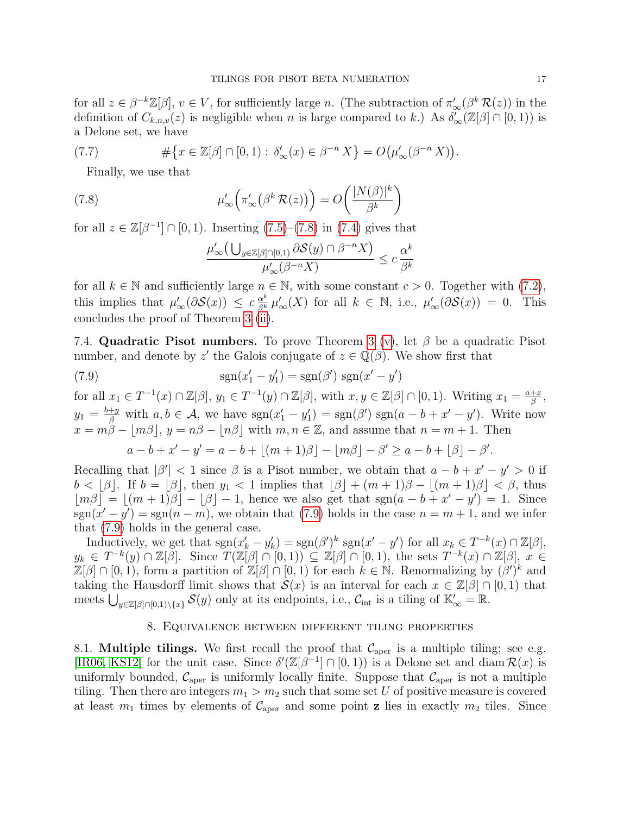for all  $z \in \beta^{-k}\mathbb{Z}[\beta], v \in V$ , for sufficiently large n. (The subtraction of  $\pi'_{\infty}(\beta^k \mathcal{R}(z))$ ) in the definition of  $C_{k,n,v}(z)$  is negligible when n is large compared to k.) As  $\delta_{\infty}(\mathbb{Z}[\beta] \cap [0,1))$  is a Delone set, we have

(7.7) 
$$
\#\{x\in\mathbb{Z}[\beta]\cap[0,1):\delta'_\infty(x)\in\beta^{-n}X\}=O\big(\mu'_\infty(\beta^{-n}X)\big).
$$

Finally, we use that

(7.8) 
$$
\mu'_{\infty}\left(\pi'_{\infty}\left(\beta^{k} \mathcal{R}(z)\right)\right) = O\left(\frac{|N(\beta)|^{k}}{\beta^{k}}\right)
$$

for all  $z \in \mathbb{Z}[\beta^{-1}] \cap [0,1)$ . Inserting  $(7.5)-(7.8)$  $(7.5)-(7.8)$  $(7.5)-(7.8)$  in  $(7.4)$  gives that

<span id="page-16-1"></span>
$$
\frac{\mu'_{\infty}\left(\bigcup_{y\in\mathbb{Z}[\beta]\cap[0,1]}\partial S(y)\cap\beta^{-n}X\right)}{\mu'_{\infty}(\beta^{-n}X)}\leq c\frac{\alpha^k}{\beta^k}
$$

for all  $k \in \mathbb{N}$  and sufficiently large  $n \in \mathbb{N}$ , with some constant  $c > 0$ . Together with [\(7.2\)](#page-15-2), this implies that  $\mu'_{\infty}(\partial \mathcal{S}(x)) \leq c \frac{\alpha^{k}}{\beta^{k}} \mu'_{\infty}(X)$  for all  $k \in \mathbb{N}$ , i.e.,  $\mu'_{\infty}(\partial \mathcal{S}(x)) = 0$ . This concludes the proof of Theorem [3](#page-6-1) [\(ii\)](#page-6-10).

<span id="page-16-3"></span>7.4. Quadratic Pisot numbers. To prove Theorem [3](#page-6-1) [\(v\)](#page-6-3), let  $\beta$  be a quadratic Pisot number, and denote by z' the Galois conjugate of  $z \in \mathbb{Q}(\beta)$ . We show first that

(7.9)  $\text{sgn}(x'_1 - y'_1) = \text{sgn}(\beta') \text{sgn}(x' - y')$ 

for all  $x_1 \in T^{-1}(x) \cap \mathbb{Z}[\beta], y_1 \in T^{-1}(y) \cap \mathbb{Z}[\beta],$  with  $x, y \in \mathbb{Z}[\beta] \cap [0, 1)$ . Writing  $x_1 = \frac{a+x}{\beta}$  $\frac{+x}{\beta}$ ,  $y_1 = \frac{b+y}{\beta}$  with  $a, b \in \mathcal{A}$ , we have  $sgn(x'_1 - y'_1) = sgn(\beta')$   $sgn(a - b + x' - y')$ . Write now  $x = m\tilde{\beta} - |m\beta|$ ,  $y = n\beta - |n\beta|$  with  $m, n \in \mathbb{Z}$ , and assume that  $n = m + 1$ . Then

<span id="page-16-2"></span> $a - b + x' - y' = a - b + (m + 1)\beta - |m\beta| - \beta' \ge a - b + |\beta| - \beta'.$ 

Recalling that  $|\beta'| < 1$  since  $\beta$  is a Pisot number, we obtain that  $a - b + x' - y' > 0$  if  $b < \lfloor \beta \rfloor$ . If  $b = \lfloor \beta \rfloor$ , then  $y_1 < 1$  implies that  $\lfloor \beta \rfloor + (m+1)\beta - \lfloor (m+1)\beta \rfloor < \beta$ , thus  $\lfloor m\beta \rfloor = \lfloor (m+1)\beta \rfloor - \lfloor \beta \rfloor - 1$ , hence we also get that sgn $(a - b + x' - y') = 1$ . Since  $sgn(x'-y') = sgn(n-m)$ , we obtain that [\(7.9\)](#page-16-2) holds in the case  $n = m + 1$ , and we infer that [\(7.9\)](#page-16-2) holds in the general case.

Inductively, we get that  $sgn(x'_k - y'_k) = sgn(\beta')^k sgn(x' - y')$  for all  $x_k \in T^{-k}(x) \cap \mathbb{Z}[\beta],$  $y_k \in T^{-k}(y) \cap \mathbb{Z}[\beta]$ . Since  $T(\mathbb{Z}[\beta] \cap [0,1)) \subseteq \mathbb{Z}[\beta] \cap [0,1)$ , the sets  $T^{-k}(x) \cap \mathbb{Z}[\beta]$ ,  $x \in$  $\mathbb{Z}[\beta] \cap [0,1)$ , form a partition of  $\mathbb{Z}[\beta] \cap [0,1)$  for each  $k \in \mathbb{N}$ . Renormalizing by  $(\beta')^k$  and taking the Hausdorff limit shows that  $\mathcal{S}(x)$  is an interval for each  $x \in \mathbb{Z}[\beta] \cap [0,1)$  that meets  $\bigcup_{y\in\mathbb{Z}[\beta]\cap[0,1)\setminus\{x\}}\mathcal{S}(y)$  only at its endpoints, i.e.,  $\mathcal{C}_{\text{int}}$  is a tiling of  $\mathbb{K}'_{\infty}=\mathbb{R}$ .

## 8. Equivalence between different tiling properties

<span id="page-16-0"></span>8.1. Multiple tilings. We first recall the proof that  $\mathcal{C}_{\text{aper}}$  is a multiple tiling; see e.g. [\[IR06,](#page-28-5) [KS12\]](#page-28-14) for the unit case. Since  $\delta'(\mathbb{Z}[\beta^{-1}] \cap [0,1))$  is a Delone set and diam  $\mathcal{R}(x)$  is uniformly bounded,  $\mathcal{C}_{\text{aper}}$  is uniformly locally finite. Suppose that  $\mathcal{C}_{\text{aper}}$  is not a multiple tiling. Then there are integers  $m_1 > m_2$  such that some set U of positive measure is covered at least  $m_1$  times by elements of  $\mathcal{C}_{\text{aper}}$  and some point **z** lies in exactly  $m_2$  tiles. Since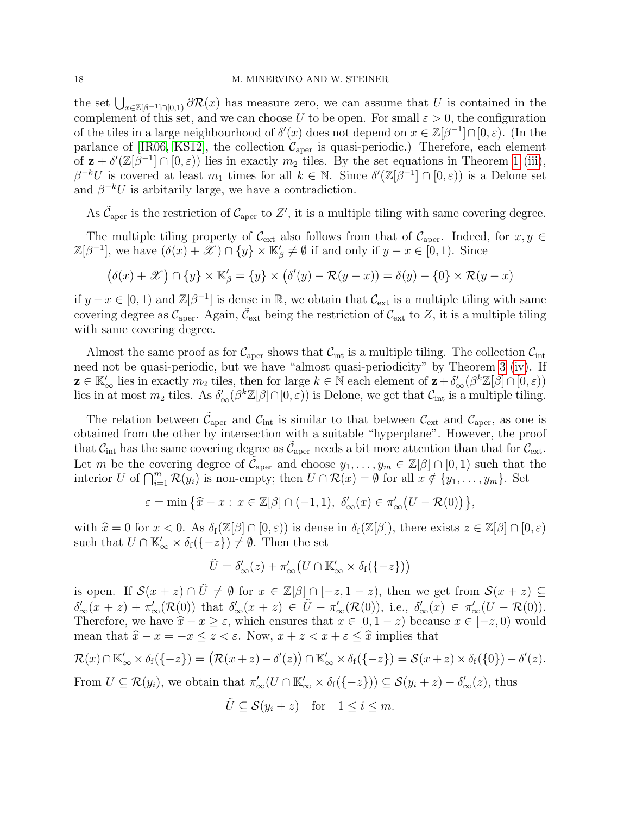the set  $\bigcup_{x\in\mathbb{Z}[\beta^{-1}]\cap[0,1)}\partial\mathcal{R}(x)$  has measure zero, we can assume that U is contained in the complement of this set, and we can choose U to be open. For small  $\varepsilon > 0$ , the configuration of the tiles in a large neighbourhood of  $\delta'(x)$  does not depend on  $x \in \mathbb{Z}[\beta^{-1}] \cap [0,\varepsilon)$ . (In the parlance of [\[IR06,](#page-28-5) [KS12\]](#page-28-14), the collection  $\mathcal{C}_{\text{aper}}$  is quasi-periodic.) Therefore, each element of  $\mathbf{z} + \delta'(\mathbb{Z}[\beta^{-1}] \cap [0,\varepsilon))$  lies in exactly  $m_2$  tiles. By the set equations in Theorem [1](#page-5-0) [\(iii\)](#page-5-3),  $\beta^{-k}U$  is covered at least  $m_1$  times for all  $k \in \mathbb{N}$ . Since  $\delta'(\mathbb{Z}[\beta^{-1}] \cap [0,\varepsilon))$  is a Delone set and  $\beta^{-k}U$  is arbitarily large, we have a contradiction.

As  $\tilde{\mathcal{C}}_{\text{aper}}$  is the restriction of  $\mathcal{C}_{\text{aper}}$  to Z', it is a multiple tiling with same covering degree.

The multiple tiling property of  $\mathcal{C}_{ext}$  also follows from that of  $\mathcal{C}_{aper}$ . Indeed, for  $x, y \in$  $\mathbb{Z}[\beta^{-1}]$ , we have  $(\delta(x) + \mathscr{X}) \cap \{y\} \times \mathbb{K}_{\beta}' \neq \emptyset$  if and only if  $y - x \in [0, 1)$ . Since

$$
(\delta(x) + \mathscr{X}) \cap \{y\} \times \mathbb{K}'_{\beta} = \{y\} \times (\delta'(y) - \mathcal{R}(y - x)) = \delta(y) - \{0\} \times \mathcal{R}(y - x)
$$

if  $y - x \in [0, 1)$  and  $\mathbb{Z}[\beta^{-1}]$  is dense in ℝ, we obtain that  $\mathcal{C}_{ext}$  is a multiple tiling with same covering degree as  $\mathcal{C}_{aper}$ . Again,  $\tilde{\mathcal{C}}_{ext}$  being the restriction of  $\mathcal{C}_{ext}$  to Z, it is a multiple tiling with same covering degree.

Almost the same proof as for  $\mathcal{C}_{\text{aper}}$  shows that  $\mathcal{C}_{\text{int}}$  is a multiple tiling. The collection  $\mathcal{C}_{\text{int}}$ need not be quasi-periodic, but we have "almost quasi-periodicity" by Theorem [3](#page-6-1) [\(iv\)](#page-6-6). If  $\mathbf{z} \in \mathbb{K}'_{\infty}$  lies in exactly  $m_2$  tiles, then for large  $k \in \mathbb{N}$  each element of  $\mathbf{z} + \delta'_{\infty}(\beta^k \mathbb{Z}[\beta] \cap [0, \varepsilon))$ lies in at most  $m_2$  tiles. As  $\delta'_{\infty}(\beta^k \mathbb{Z}[\beta] \cap [0,\varepsilon))$  is Delone, we get that  $\mathcal{C}_{\text{int}}$  is a multiple tiling.

The relation between  $\tilde{C}_{aper}$  and  $C_{int}$  is similar to that between  $C_{ext}$  and  $C_{aper}$ , as one is obtained from the other by intersection with a suitable "hyperplane". However, the proof that  $\mathcal{C}_{\text{int}}$  has the same covering degree as  $\tilde{\mathcal{C}}_{\text{aper}}$  needs a bit more attention than that for  $\mathcal{C}_{\text{ext}}$ . Let m be the covering degree of  $\tilde{\mathcal{C}}_{aper}$  and choose  $y_1, \ldots, y_m \in \mathbb{Z}[\beta] \cap [0,1)$  such that the interior U of  $\bigcap_{i=1}^m \mathcal{R}(y_i)$  is non-empty; then  $U \cap \mathcal{R}(x) = \emptyset$  for all  $x \notin \{y_1, \ldots, y_m\}$ . Set

$$
\varepsilon = \min \left\{ \widehat{x} - x : x \in \mathbb{Z}[\beta] \cap (-1, 1), \ \delta_{\infty}'(x) \in \pi_{\infty}'(U - \mathcal{R}(0)) \right\},\
$$

with  $\hat{x} = 0$  for  $x < 0$ . As  $\delta_f(\mathbb{Z}[\beta] \cap [0, \varepsilon))$  is dense in  $\overline{\delta_f(\mathbb{Z}[\beta])}$ , there exists  $z \in \mathbb{Z}[\beta] \cap [0, \varepsilon)$ such that  $U \cap \mathbb{K}'_{\infty} \times \delta_f(\{-z\}) \neq \emptyset$ . Then the set

$$
\tilde{U} = \delta'_{\infty}(z) + \pi'_{\infty}\big(U \cap \mathbb{K}'_{\infty} \times \delta_f(\{-z\})\big)
$$

is open. If  $\mathcal{S}(x+z) \cap \tilde{U} \neq \emptyset$  for  $x \in \mathbb{Z}[\beta] \cap [-z, 1-z)$ , then we get from  $\mathcal{S}(x+z) \subseteq$  $\delta'_{\infty}(x+z) + \pi'_{\infty}(\mathcal{R}(0))$  that  $\delta'_{\infty}(x+z) \in \tilde{U} - \pi'_{\infty}(\mathcal{R}(0))$ , i.e.,  $\delta'_{\infty}(x) \in \pi'_{\infty}(U - \mathcal{R}(0))$ . Therefore, we have  $\hat{x} - x \geq \varepsilon$ , which ensures that  $x \in [0, 1 - z)$  because  $x \in [-z, 0)$  would mean that  $\hat{x} - x = -x \leq z < \varepsilon$ . Now,  $x + z < x + \varepsilon \leq \hat{x}$  implies that

$$
\mathcal{R}(x) \cap \mathbb{K}'_{\infty} \times \delta_f(\{-z\}) = \big(\mathcal{R}(x+z) - \delta'(z)\big) \cap \mathbb{K}'_{\infty} \times \delta_f(\{-z\}) = \mathcal{S}(x+z) \times \delta_f(\{0\}) - \delta'(z).
$$

From  $U \subseteq \mathcal{R}(y_i)$ , we obtain that  $\pi'_{\infty}(U \cap \mathbb{K}'_{\infty} \times \delta_f(\{-z\})) \subseteq \mathcal{S}(y_i + z) - \delta'_{\infty}(z)$ , thus

$$
\tilde{U} \subseteq \mathcal{S}(y_i + z) \quad \text{for} \quad 1 \le i \le m.
$$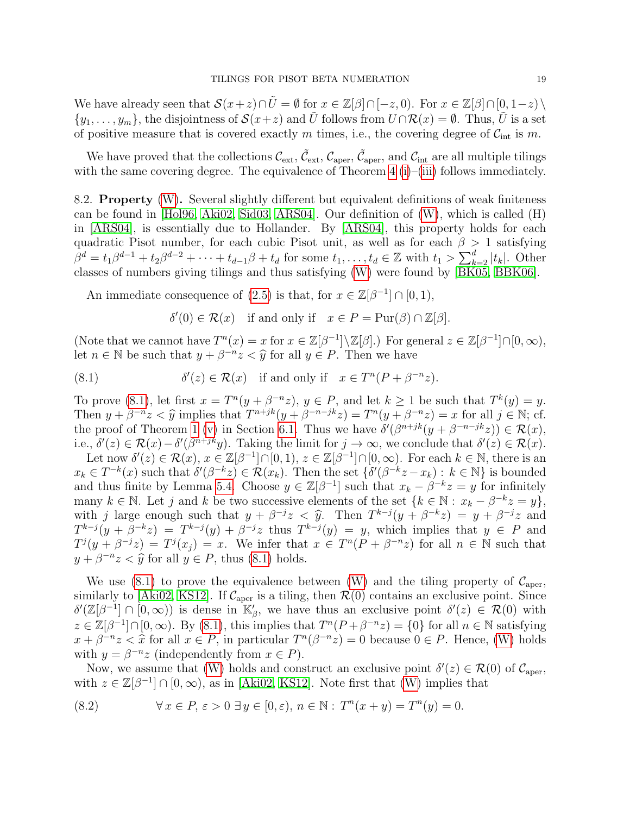We have already seen that  $\mathcal{S}(x+z)\cap\tilde{U}=\emptyset$  for  $x\in\mathbb{Z}[\beta]\cap[-z,0)$ . For  $x\in\mathbb{Z}[\beta]\cap[0,1-z)\setminus\mathbb{Z}$  $\{y_1, \ldots, y_m\}$ , the disjointness of  $\mathcal{S}(x+z)$  and  $\tilde{U}$  follows from  $U \cap \mathcal{R}(x) = \emptyset$ . Thus,  $\tilde{U}$  is a set of positive measure that is covered exactly m times, i.e., the covering degree of  $C_{\text{int}}$  is m.

We have proved that the collections  $\mathcal{C}_{ext}$ ,  $\tilde{\mathcal{C}}_{ext}$ ,  $\mathcal{C}_{aper}$ ,  $\tilde{\mathcal{C}}_{aper}$ , and  $\mathcal{C}_{int}$  are all multiple tilings with the same covering degree. The equivalence of Theorem [4](#page-6-2) [\(i\)](#page-6-11)–[\(iii\)](#page-6-12) follows immediately.

8.2. Property [\(W\)](#page-5-1). Several slightly different but equivalent definitions of weak finiteness can be found in [\[Hol96,](#page-28-16) [Aki02,](#page-27-12) [Sid03,](#page-28-17) [ARS04\]](#page-27-9). Our definition of [\(W\)](#page-5-1), which is called (H) in [\[ARS04\]](#page-27-9), is essentially due to Hollander. By [\[ARS04\]](#page-27-9), this property holds for each quadratic Pisot number, for each cubic Pisot unit, as well as for each  $\beta > 1$  satisfying  $\beta^d = t_1 \beta^{d-1} + t_2 \beta^{d-2} + \cdots + t_{d-1} \beta + t_d$  for some  $t_1, \ldots, t_d \in \mathbb{Z}$  with  $t_1 > \sum_{k=2}^d |t_k|$ . Other classes of numbers giving tilings and thus satisfying [\(W\)](#page-5-1) were found by [\[BK05,](#page-27-13) [BBK06\]](#page-27-2).

An immediate consequence of [\(2.5\)](#page-5-6) is that, for  $x \in \mathbb{Z}[\beta^{-1}] \cap [0,1)$ ,

<span id="page-18-0"></span> $\delta'(0) \in \mathcal{R}(x)$  if and only if  $x \in P = \text{pur}(\beta) \cap \mathbb{Z}[\beta].$ 

(Note that we cannot have  $T^n(x) = x$  for  $x \in \mathbb{Z}[\beta^{-1}]\setminus \mathbb{Z}[\beta]$ .) For general  $z \in \mathbb{Z}[\beta^{-1}]\cap [0,\infty)$ , let  $n \in \mathbb{N}$  be such that  $y + \beta^{-n} z < \hat{y}$  for all  $y \in P$ . Then we have

(8.1) 
$$
\delta'(z) \in \mathcal{R}(x) \text{ if and only if } x \in T^{n}(P + \beta^{-n}z).
$$

To prove [\(8.1\)](#page-18-0), let first  $x = T^{n}(y + \beta^{-n}z)$ ,  $y \in P$ , and let  $k \ge 1$  be such that  $T^{k}(y) = y$ . Then  $y + \beta^{-n}z < \hat{y}$  implies that  $T^{n+jk}(y + \beta^{-n-jk}z) = T^n(y + \beta^{-n}z) = x$  for all  $j \in \mathbb{N}$ ; cf.<br>the proof of Theorem 1 (y) in Section 6.1. Thus we have  $\delta'(R^{n+jk}(y + \beta^{-n-jk}z)) \in \mathcal{D}(x)$ . the proof of Theorem [1](#page-5-0) [\(v\)](#page-5-5) in Section [6.1.](#page-11-1) Thus we have  $\delta'(\beta^{n+jk}(y+\beta^{-n-jk}z)) \in \mathcal{R}(x)$ , i.e.,  $\delta'(z) \in \mathcal{R}(x) - \delta'(\beta^{n+jk}y)$ . Taking the limit for  $j \to \infty$ , we conclude that  $\delta'(z) \in \mathcal{R}(x)$ . Let now  $\delta'(z) \in \mathcal{R}(x)$ ,  $x \in \mathbb{Z}[\beta^{-1}]\cap [0,1)$ ,  $z \in \mathbb{Z}[\beta^{-1}]\cap [0,\infty)$ . For each  $k \in \mathbb{N}$ , there is an  $x_k \in T^{-k}(x)$  such that  $\delta'(\beta^{-k}z) \in \mathcal{R}(x_k)$ . Then the set  $\{\delta'(\beta^{-k}z - x_k) : k \in \mathbb{N}\}\$  is bounded and thus finite by Lemma [5.4.](#page-9-1) Choose  $y \in \mathbb{Z}[\beta^{-1}]$  such that  $x_k - \beta^{-k}z = y$  for infinitely many  $k \in \mathbb{N}$ . Let j and k be two successive elements of the set  $\{k \in \mathbb{N} : x_k - \beta^{-k}z = y\},\$ with j large enough such that  $y + \beta^{-j}z < \hat{y}$ . Then  $T^{k-j}(y + \beta^{-k}z) = y + \beta^{-j}z$  and  $T^{k-j}(y + \beta^{-k}z) = T^{k-j}(y) + \beta^{-j}z$  flux  $T^{k-j}(y) = y$  which implies that  $y \in P$  and  $T^{k-j}(y+\beta^{-k}z) = T^{k-j}(y) + \beta^{-j}z$  thus  $T^{k-j}(y) = y$ , which implies that  $y \in P$  and  $T^{j}(y + \beta^{-j}z) = T^{j}(x_{j}) = x$ . We infer that  $x \in T^{n}(P + \beta^{-n}z)$  for all  $n \in \mathbb{N}$  such that  $y + \beta^{-n}z < \hat{y}$  for all  $y \in P$ , thus [\(8.1\)](#page-18-0) holds.

We use [\(8.1\)](#page-18-0) to prove the equivalence between [\(W\)](#page-5-1) and the tiling property of  $\mathcal{C}_{\text{aper}}$ , similarly to [\[Aki02,](#page-27-12) [KS12\]](#page-28-14). If  $\mathcal{C}_{aper}$  is a tiling, then  $\mathcal{R}(0)$  contains an exclusive point. Since  $\delta'(\mathbb{Z}[\beta^{-1}]\cap [0,\infty))$  is dense in  $\mathbb{K}'_{\beta}$ , we have thus an exclusive point  $\delta'(z) \in \mathcal{R}(0)$  with  $z \in \mathbb{Z}[\beta^{-1}] \cap [0, \infty)$ . By [\(8.1\)](#page-18-0), this implies that  $T^{n}(P + \beta^{-n}z) = \{0\}$  for all  $n \in \mathbb{N}$  satisfying  $x + \beta^{-n}z < \hat{x}$  for all  $x \in P$ , in particular  $T^{n}(\beta^{-n}z) = 0$  because  $0 \in P$ . Hence, [\(W\)](#page-5-1) holds<br>with  $y = \beta^{-n}z$  (independently from  $x \in P$ ) with  $y = \beta^{-n}z$  (independently from  $x \in P$ ).

Now, we assume that [\(W\)](#page-5-1) holds and construct an exclusive point  $\delta'(z) \in \mathcal{R}(0)$  of  $\mathcal{C}_{aper}$ , with  $z \in \mathbb{Z}[\beta^{-1}] \cap [0,\infty)$ , as in [\[Aki02,](#page-27-12) [KS12\]](#page-28-14). Note first that [\(W\)](#page-5-1) implies that

<span id="page-18-1"></span>(8.2) 
$$
\forall x \in P, \varepsilon > 0 \ \exists y \in [0, \varepsilon), n \in \mathbb{N} : T^n(x + y) = T^n(y) = 0.
$$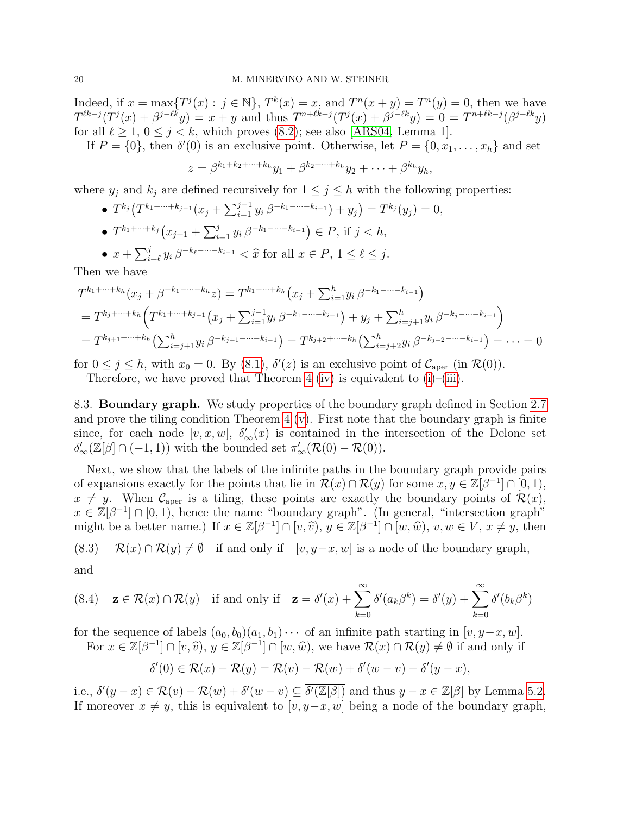Indeed, if  $x = \max\{T^j(x) : j \in \mathbb{N}\}, T^k(x) = x$ , and  $T^n(x + y) = T^n(y) = 0$ , then we have  $T^{\ell k-j}(T^j(x) + \beta^{j-\ell k}y) = x + y$  and thus  $T^{n+\ell k-j}(T^j(x) + \beta^{j-\ell k}y) = 0 = T^{n+\ell k-j}(\beta^{j-\ell k}y)$ for all  $\ell \ge 1, 0 \le j \le k$ , which proves [\(8.2\)](#page-18-1); see also [\[ARS04,](#page-27-9) Lemma 1].

If  $P = \{0\}$ , then  $\delta'(0)$  is an exclusive point. Otherwise, let  $P = \{0, x_1, \ldots, x_h\}$  and set

$$
z = \beta^{k_1 + k_2 + \dots + k_h} y_1 + \beta^{k_2 + \dots + k_h} y_2 + \dots + \beta^{k_h} y_h,
$$

where  $y_j$  and  $k_j$  are defined recursively for  $1 \leq j \leq h$  with the following properties:

- $T^{k_j}(T^{k_1+\cdots+k_{j-1}}(x_j+\sum_{i=1}^{j-1}y_i\beta^{-k_1-\cdots-k_{i-1}})+y_j)=T^{k_j}(y_j)=0,$
- $T^{k_1+\cdots+k_j}(x_{j+1}+\sum_{i=1}^j y_i\,\beta^{-k_1-\cdots-k_{i-1}}) \in P$ , if  $j < h$ ,

• 
$$
x + \sum_{i=\ell}^{j} y_i \beta^{-k_{\ell} - \dots - k_{i-1}} < \hat{x}
$$
 for all  $x \in P, 1 \leq \ell \leq j$ .

Then we have

$$
T^{k_1 + \dots + k_h}(x_j + \beta^{-k_1 - \dots - k_h} z) = T^{k_1 + \dots + k_h}(x_j + \sum_{i=1}^h y_i \beta^{-k_1 - \dots - k_{i-1}})
$$
  
=  $T^{k_j + \dots + k_h} \left( T^{k_1 + \dots + k_{j-1}}(x_j + \sum_{i=1}^{j-1} y_i \beta^{-k_1 - \dots - k_{i-1}}) + y_j + \sum_{i=j+1}^h y_i \beta^{-k_j - \dots - k_{i-1}} \right)$   
=  $T^{k_{j+1} + \dots + k_h} \left( \sum_{i=j+1}^h y_i \beta^{-k_{j+1} - \dots - k_{i-1}} \right) = T^{k_{j+2} + \dots + k_h} \left( \sum_{i=j+2}^h y_i \beta^{-k_{j+2} - \dots - k_{i-1}} \right) = \dots = 0$ 

for  $0 \le j \le h$ , with  $x_0 = 0$ . By  $(8.1)$ ,  $\delta'(z)$  is an exclusive point of  $C_{\text{aper}}$  (in  $\mathcal{R}(0)$ ).

Therefore, we have proved that Theorem [4](#page-6-2) [\(iv\)](#page-6-13) is equivalent to  $(i)$ – $(iii)$ .

8.3. Boundary graph. We study properties of the boundary graph defined in Section [2.7](#page-4-1) and prove the tiling condition Theorem  $4 \text{ (v)}$  $4 \text{ (v)}$  $4 \text{ (v)}$ . First note that the boundary graph is finite since, for each node  $[v, x, w]$ ,  $\delta'_{\infty}(x)$  is contained in the intersection of the Delone set  $\delta'_{\infty}(\mathbb{Z}[\beta] \cap (-1,1))$  with the bounded set  $\pi'_{\infty}(\mathcal{R}(0) - \mathcal{R}(0)).$ 

Next, we show that the labels of the infinite paths in the boundary graph provide pairs of expansions exactly for the points that lie in  $\mathcal{R}(x) \cap \mathcal{R}(y)$  for some  $x, y \in \mathbb{Z}[\beta^{-1}] \cap [0,1)$ ,  $x \neq y$ . When  $\mathcal{C}_{\text{aper}}$  is a tiling, these points are exactly the boundary points of  $\mathcal{R}(x)$ ,  $x \in \mathbb{Z}[\beta^{-1}] \cap [0,1]$ , hence the name "boundary graph". (In general, "intersection graph" might be a better name.) If  $x \in \mathbb{Z}[\beta^{-1}] \cap [v, \hat{v}), y \in \mathbb{Z}[\beta^{-1}] \cap [w, \hat{w}), v, w \in V, x \neq y$ , then

<span id="page-19-0"></span>(8.3)  $\mathcal{R}(x) \cap \mathcal{R}(y) \neq \emptyset$  if and only if  $[v, y-x, w]$  is a node of the boundary graph,

and

<span id="page-19-1"></span>(8.4) 
$$
\mathbf{z} \in \mathcal{R}(x) \cap \mathcal{R}(y)
$$
 if and only if  $\mathbf{z} = \delta'(x) + \sum_{k=0}^{\infty} \delta'(a_k \beta^k) = \delta'(y) + \sum_{k=0}^{\infty} \delta'(b_k \beta^k)$ 

for the sequence of labels  $(a_0, b_0)(a_1, b_1)\cdots$  of an infinite path starting in  $[v, y-x, w]$ . For  $x \in \mathbb{Z}[\beta^{-1}] \cap [v, \hat{v}), y \in \mathbb{Z}[\beta^{-1}] \cap [w, \hat{w}),$  we have  $\mathcal{R}(x) \cap \mathcal{R}(y) \neq \emptyset$  if and only if

$$
\delta'(0) \in \mathcal{R}(x) - \mathcal{R}(y) = \mathcal{R}(v) - \mathcal{R}(w) + \delta'(w - v) - \delta'(y - x),
$$

i.e.,  $\delta'(y-x) \in \mathcal{R}(v) - \mathcal{R}(w) + \delta'(w-v) \subseteq \overline{\delta'(\mathbb{Z}[\beta])}$  and thus  $y-x \in \mathbb{Z}[\beta]$  by Lemma [5.2.](#page-7-8) If moreover  $x \neq y$ , this is equivalent to  $[v, y-x, w]$  being a node of the boundary graph,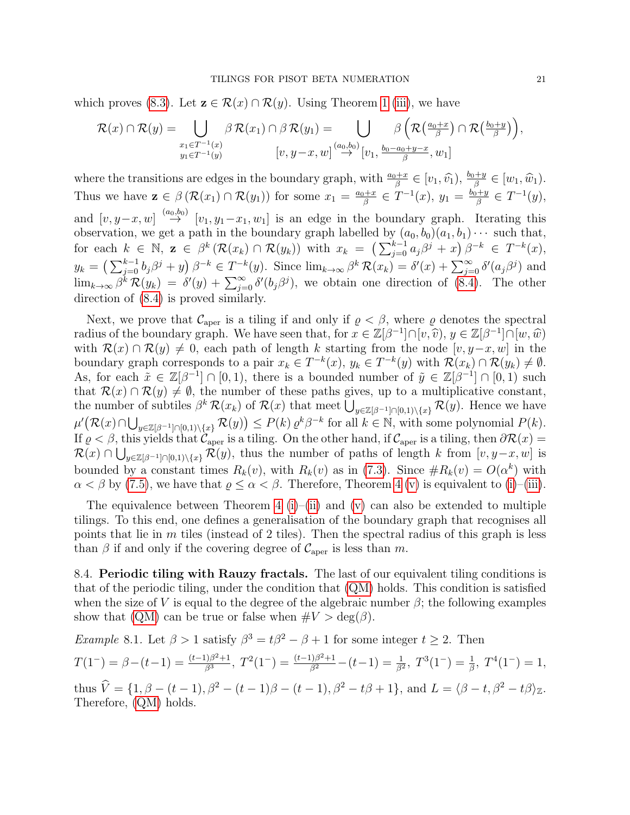which proves [\(8.3\)](#page-19-0). Let  $\mathbf{z} \in \mathcal{R}(x) \cap \mathcal{R}(y)$ . Using Theorem [1](#page-5-0) [\(iii\)](#page-5-3), we have

$$
\mathcal{R}(x) \cap \mathcal{R}(y) = \bigcup_{\substack{x_1 \in T^{-1}(x) \\ y_1 \in T^{-1}(y)}} \beta \mathcal{R}(x_1) \cap \beta \mathcal{R}(y_1) = \bigcup_{\substack{[v, y - x, w] \text{ s.t. } w_1 \to w_2 \text{ s.t. } w_1 \text{ s.t. } w_1 \text{ s.t. } w_1 \text{ s.t. } w_1 \text{ s.t. } w_1 \text{ s.t. } w_1 \text{ s.t. } w_1 \text{ s.t. } w_1 \text{ s.t. } w_1 \text{ s.t. } w_2 \text{ s.t. } w_1 \text{ s.t. } w_2 \text{ s.t. } w_1 \text{ s.t. } w_2 \text{ s.t. } w_1 \text{ s.t. } w_2 \text{ s.t. } w_1 \text{ s.t. } w_2 \text{ s.t. } w_1 \text{ s.t. } w_2 \text{ s.t. } w_1 \text{ s.t. } w_2 \text{ s.t. } w_1 \text{ s.t. } w_2 \text{ s.t. } w_1 \text{ s.t. } w_2 \text{ s.t. } w_1 \text{ s.t. } w_2 \text{ s.t. } w_1 \text{ s.t. } w_2 \text{ s.t. } w_1 \text{ s.t. } w_2 \text{ s.t. } w_1 \text{ s.t. } w_2 \text{ s.t. } w_1 \text{ s.t. } w_2 \text{ s.t. } w_1 \text{ s.t. } w_2 \text{ s.t. } w_1 \text{ s.t. } w_2 \text{ s.t. } w_2 \text{ s.t. } w_2 \text{ s.t. } w_2 \text{ s.t. } w_2 \text{ s.t. } w_2 \text{ s.t. } w_2 \text{ s.t. } w_2 \text{ s.t. } w_2 \text{ s.t. } w_2 \text{ s.t. } w_2 \text{ s.t. } w_2 \text{ s.t. } w_2 \text{ s.t. } w_2 \text{ s.t. } w_2 \text{ s.t. } w_2 \text{ s.t. } w_2 \text{ s.t. } w_2 \text{ s.t. } w_2 \text{ s.t. } w_2 \text{ s.t. } w_2 \text{ s.t. } w_2 \text{ s.t. } w_2 \text{ s.t. } w_2 \text{ s.t. } w_2 \text{ s.t. } w_2 \text
$$

where the transitions are edges in the boundary graph, with  $\frac{a_0+x}{\beta} \in [v_1, \hat{v}_1), \frac{b_0+y}{\beta} \in [w_1, \hat{w}_1)$ . Thus we have  $\mathbf{z} \in \beta \left( \mathcal{R}(x_1) \cap \mathcal{R}(y_1) \right)$  for some  $x_1 = \frac{a_0 + x_1}{\beta}$  $\frac{y_1+x}{\beta} \in T^{-1}(x), y_1 = \frac{b_0+y}{\beta}$  $\frac{y+1}{\beta} \in T^{-1}(y),$ and  $[v, y-x, w] \stackrel{(a_0, b_0)}{\rightarrow} [v_1, y_1-x_1, w_1]$  is an edge in the boundary graph. Iterating this observation, we get a path in the boundary graph labelled by  $(a_0, b_0)(a_1, b_1)\cdots$  such that, for each  $k \in \mathbb{N}$ ,  $\mathbf{z} \in \beta^k (\mathcal{R}(x_k) \cap \mathcal{R}(y_k))$  with  $x_k = \left( \sum_{j=0}^{k-1} a_j \beta^j + x \right) \beta^{-k} \in T^{-k}(x)$ ,  $y_k = \left(\sum_{j=0}^{k-1} b_j \beta^j + y\right) \beta^{-k} \in T^{-k}(y)$ . Since  $\lim_{k\to\infty} \beta^k \mathcal{R}(x_k) = \delta'(x) + \sum_{j=0}^{\infty} \delta'(a_j \beta^j)$  and  $\lim_{k\to\infty}\beta^k \mathcal{R}(y_k) = \delta'(y) + \sum_{j=0}^{\infty} \delta'(b_j\beta^j)$ , we obtain one direction of [\(8.4\)](#page-19-1). The other direction of [\(8.4\)](#page-19-1) is proved similarly.

Next, we prove that  $\mathcal{C}_{\text{aper}}$  is a tiling if and only if  $\rho < \beta$ , where  $\rho$  denotes the spectral radius of the boundary graph. We have seen that, for  $x \in \mathbb{Z}[\beta^{-1}] \cap [v, \hat{v}), y \in \mathbb{Z}[\beta^{-1}] \cap [w, \hat{w})$ <br>with  $\mathcal{P}(x) \cap \mathcal{P}(w) \neq 0$ , gach path of longth k starting from the pode  $[v, u-x,w]$  in the with  $\mathcal{R}(x) \cap \mathcal{R}(y) \neq 0$ , each path of length k starting from the node  $[v, y-x, w]$  in the boundary graph corresponds to a pair  $x_k \in T^{-k}(x)$ ,  $y_k \in T^{-k}(y)$  with  $\mathcal{R}(x_k) \cap \mathcal{R}(y_k) \neq \emptyset$ . As, for each  $\tilde{x} \in \mathbb{Z}[\beta^{-1}] \cap [0,1)$ , there is a bounded number of  $\tilde{y} \in \mathbb{Z}[\beta^{-1}] \cap [0,1)$  such that  $\mathcal{R}(x) \cap \mathcal{R}(y) \neq \emptyset$ , the number of these paths gives, up to a multiplicative constant, the number of subtiles  $\beta^k \mathcal{R}(x_k)$  of  $\mathcal{R}(x)$  that meet  $\bigcup_{y \in \mathbb{Z}[\beta^{-1}] \cap [0,1) \setminus \{x\}} \mathcal{R}(y)$ . Hence we have  $\mu'(\mathcal{R}(x) \cap \bigcup_{y \in \mathbb{Z}[\beta^{-1}] \cap [0,1) \setminus \{x\}} \mathcal{R}(y)) \le P(k) \varrho^k \beta^{-k}$  for all  $k \in \mathbb{N}$ , with some polynomial  $P(k)$ . If  $\varrho < \beta$ , this yields that  $\mathcal{C}_{\text{aper}}$  is a tiling. On the other hand, if  $\mathcal{C}_{\text{aper}}$  is a tiling, then  $\partial \mathcal{R}(x) =$  $\mathcal{R}(x) \cap \bigcup_{y \in \mathbb{Z}[\beta^{-1}] \cap [0,1) \setminus \{x\}} \mathcal{R}(y)$ , thus the number of paths of length k from  $[v, y-x, w]$  is bounded by a constant times  $R_k(v)$ , with  $R_k(v)$  as in [\(7.3\)](#page-15-3). Since  $\#R_k(v) = O(\alpha^k)$  with  $\alpha < \beta$  by [\(7.5\)](#page-15-1), we have that  $\varrho \leq \alpha < \beta$ . Therefore, Theorem [4](#page-6-2) [\(v\)](#page-6-14) is equivalent to [\(i\)](#page-6-11)–[\(iii\)](#page-6-12).

The equivalence between Theorem [4](#page-6-2) [\(i\)](#page-6-11)–[\(ii\)](#page-6-15) and [\(v\)](#page-6-14) can also be extended to multiple tilings. To this end, one defines a generalisation of the boundary graph that recognises all points that lie in  $m$  tiles (instead of 2 tiles). Then the spectral radius of this graph is less than  $\beta$  if and only if the covering degree of  $\mathcal{C}_{\text{aper}}$  is less than m.

<span id="page-20-0"></span>8.4. Periodic tiling with Rauzy fractals. The last of our equivalent tiling conditions is that of the periodic tiling, under the condition that [\(QM\)](#page-3-0) holds. This condition is satisfied when the size of V is equal to the degree of the algebraic number  $\beta$ ; the following examples show that [\(QM\)](#page-3-0) can be true or false when  $\#V > \deg(\beta)$ .

<span id="page-20-1"></span>*Example* 8.1. Let  $\beta > 1$  satisfy  $\beta^3 = t\beta^2 - \beta + 1$  for some integer  $t \ge 2$ . Then  $T(1^-) = \beta - (t-1) = \frac{(t-1)\beta^2 + 1}{\beta^3}$  $\frac{(\beta)^{2}+1}{\beta^{3}}, T^{2}(1^{-}) = \frac{(t-1)\beta^{2}+1}{\beta^{2}} - (t-1) = \frac{1}{\beta^{2}}, T^{3}(1^{-}) = \frac{1}{\beta}, T^{4}(1^{-}) = 1,$ thus  $\hat{V} = \{1, \beta - (t - 1), \beta^2 - (t - 1)\beta - (t - 1), \beta^2 - t\beta + 1\}$ , and  $L = \langle \beta - t, \beta^2 - t\beta \rangle_{\mathbb{Z}}$ . Therefore, [\(QM\)](#page-3-0) holds.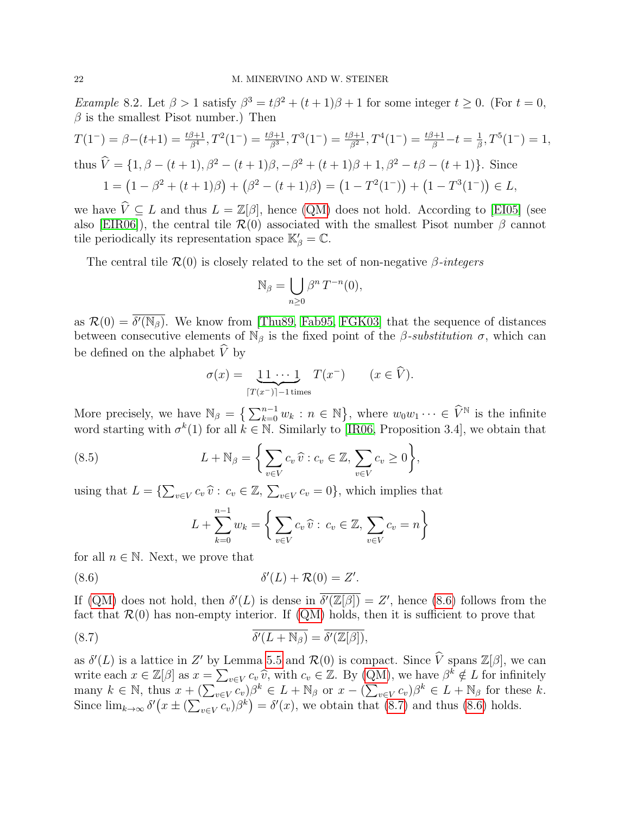*Example* 8.2. Let  $\beta > 1$  satisfy  $\beta^3 = t\beta^2 + (t+1)\beta + 1$  for some integer  $t \ge 0$ . (For  $t = 0$ ,  $\beta$  is the smallest Pisot number.) Then

$$
T(1^-) = \beta - (t+1) = \frac{t\beta + 1}{\beta^4}, T^2(1^-) = \frac{t\beta + 1}{\beta^3}, T^3(1^-) = \frac{t\beta + 1}{\beta^2}, T^4(1^-) = \frac{t\beta + 1}{\beta} - t = \frac{1}{\beta}, T^5(1^-) = 1,
$$
  
thus  $\hat{V} = \{1, \beta - (t+1), \beta^2 - (t+1)\beta, -\beta^2 + (t+1)\beta + 1, \beta^2 - t\beta - (t+1)\}$ . Since  

$$
1 = (1 - \beta^2 + (t+1)\beta) + (\beta^2 - (t+1)\beta) = (1 - T^2(1^-)) + (1 - T^3(1^-)) \in L,
$$

we have  $\hat{V} \subseteq L$  and thus  $L = \mathbb{Z}[\beta]$ , hence [\(QM\)](#page-3-0) does not hold. According to [\[EI05\]](#page-27-14) (see also [\[EIR06\]](#page-28-18)), the central tile  $\mathcal{R}(0)$  associated with the smallest Pisot number  $\beta$  cannot tile periodically its representation space  $\mathbb{K}'_{\beta} = \mathbb{C}$ .

The central tile  $\mathcal{R}(0)$  is closely related to the set of non-negative  $\beta$ -integers

$$
\mathbb{N}_{\beta} = \bigcup_{n \ge 0} \beta^n T^{-n}(0),
$$

as  $\mathcal{R}(0) = \overline{\delta'(\mathbb{N}_{\beta})}$ . We know from [\[Thu89,](#page-28-0) [Fab95,](#page-28-19) [FGK03\]](#page-28-20) that the sequence of distances between consecutive elements of  $\mathbb{N}_{\beta}$  is the fixed point of the *β-substitution*  $\sigma$ , which can be defined on the alphabet  $\hat{V}$  by

$$
\sigma(x) = \underbrace{1 \, 1 \cdots 1}_{[T(x^-)]-1 \text{ times}} T(x^-) \qquad (x \in \widehat{V}).
$$

More precisely, we have  $\mathbb{N}_{\beta} = \left\{ \sum_{k=0}^{n-1} w_k : n \in \mathbb{N} \right\}$ , where  $w_0 w_1 \cdots \in \widehat{V}^{\mathbb{N}}$  is the infinite word starting with  $\sigma^k(1)$  for all  $k \in \mathbb{N}$ . Similarly to [\[IR06,](#page-28-5) Proposition 3.4], we obtain that

(8.5) 
$$
L + \mathbb{N}_{\beta} = \left\{ \sum_{v \in V} c_v \, \widehat{v} : c_v \in \mathbb{Z}, \sum_{v \in V} c_v \ge 0 \right\},
$$

using that  $L = \{ \sum_{v \in V} c_v \,\hat{v} : c_v \in \mathbb{Z}, \, \sum_{v \in V} c_v = 0 \}$ , which implies that

<span id="page-21-1"></span><span id="page-21-0"></span>
$$
L + \sum_{k=0}^{n-1} w_k = \left\{ \sum_{v \in V} c_v \widehat{v} : c_v \in \mathbb{Z}, \sum_{v \in V} c_v = n \right\}
$$

for all  $n \in \mathbb{N}$ . Next, we prove that

$$
(8.6) \t\t\t \delta'(L) + \mathcal{R}(0) = Z'.
$$

If [\(QM\)](#page-3-0) does not hold, then  $\delta'(L)$  is dense in  $\overline{\delta'(\mathbb{Z}[\beta])} = Z'$ , hence [\(8.6\)](#page-21-0) follows from the fact that  $\mathcal{R}(0)$  has non-empty interior. If  $(QM)$  holds, then it is sufficient to prove that

(8.7) 
$$
\overline{\delta'(L+\mathbb{N}_{\beta})}=\overline{\delta'(\mathbb{Z}[\beta])},
$$

as  $\delta'(L)$  is a lattice in Z' by Lemma [5.5](#page-10-1) and  $\mathcal{R}(0)$  is compact. Since  $\hat{V}$  spans  $\mathbb{Z}[\beta]$ , we can write each  $x \in \mathbb{Z}[\beta]$  as  $x = \sum_{v \in V} c_v \widehat{v}$ , with  $c_v \in \mathbb{Z}$ . By [\(QM\)](#page-3-0), we have  $\beta^k \notin L$  for infinitely many  $k \in \mathbb{N}$ , thus  $x + (\sum_{v \in V} c_v)\beta^k \in L + \mathbb{N}_{\beta}$  or  $x - (\sum_{v \in V} c_v)\beta^k \in L + \mathbb{N}_{\beta}$  for these k. Since  $\lim_{k\to\infty} \delta'(x \pm (\sum_{v\in V} c_v)\beta^k) = \delta'(x)$ , we obtain that [\(8.7\)](#page-21-1) and thus [\(8.6\)](#page-21-0) holds.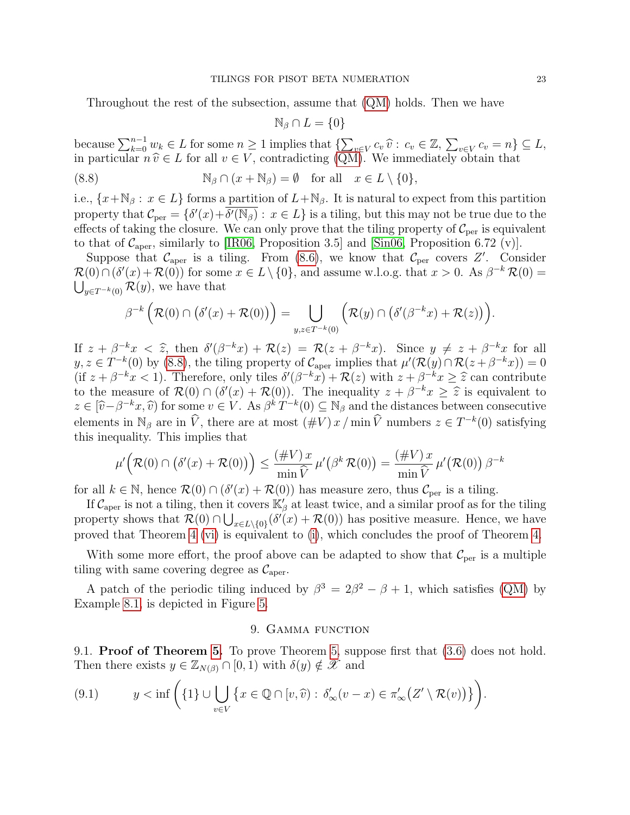Throughout the rest of the subsection, assume that [\(QM\)](#page-3-0) holds. Then we have

<span id="page-22-1"></span>
$$
\mathbb{N}_{\beta} \cap L = \{0\}
$$

because  $\sum_{k=0}^{n-1} w_k \in L$  for some  $n \geq 1$  implies that  $\{\sum_{v \in V} c_v \hat{v} : c_v \in \mathbb{Z}, \sum_{v \in V} c_v = n\} \subseteq L$ ,<br>in particular  $n \hat{v} \in L$  for all  $v \in V$  contradicting (OM). We immediately obtain that in particular  $n \hat{v} \in L$  for all  $v \in V$ , contradicting [\(QM\)](#page-3-0). We immediately obtain that

(8.8) 
$$
\mathbb{N}_{\beta} \cap (x + \mathbb{N}_{\beta}) = \emptyset \text{ for all } x \in L \setminus \{0\},
$$

i.e.,  $\{x+\mathbb{N}_{\beta}: x \in L\}$  forms a partition of  $L+\mathbb{N}_{\beta}$ . It is natural to expect from this partition property that  $\mathcal{C}_{per} = \{\delta'(x) + \overline{\delta'(N_\beta)} : x \in L\}$  is a tiling, but this may not be true due to the effects of taking the closure. We can only prove that the tiling property of  $\mathcal{C}_{\text{per}}$  is equivalent to that of  $C_{\text{aper}}$ , similarly to [\[IR06,](#page-28-5) Proposition 3.5] and [\[Sin06,](#page-28-3) Proposition 6.72 (v)].

Suppose that  $C_{aper}$  is a tiling. From [\(8.6\)](#page-21-0), we know that  $C_{per}$  covers Z'. Consider  $\mathcal{R}(0) \cap (\delta'(x) + \mathcal{R}(0))$  for some  $x \in L \setminus \{0\}$ , and assume w.l.o.g. that  $x > 0$ . As  $\beta^{-k} \mathcal{R}(0) =$  $\bigcup_{y \in T^{-k}(0)} \mathcal{R}(y)$ , we have that

$$
\beta^{-k}\left(\mathcal{R}(0)\cap\left(\delta'(x)+\mathcal{R}(0)\right)\right)=\bigcup_{y,z\in T^{-k}(0)}\left(\mathcal{R}(y)\cap\left(\delta'(\beta^{-k}x)+\mathcal{R}(z)\right)\right).
$$

If  $z + \beta^{-k}x < \hat{z}$ , then  $\delta'(\beta^{-k}x) + \mathcal{R}(z) = \mathcal{R}(z + \beta^{-k}x)$ . Since  $y \neq z + \beta^{-k}x$  for all  $y \neq z \in T^{-k}(0)$  by  $(s, s)$  the tiling property of  $\beta$  implies that  $u'(\mathcal{R}(u) \cap \mathcal{R}(z + \beta^{-k}x)) = 0$  $y, z \in T^{-k}(0)$  by [\(8.8\)](#page-22-1), the tiling property of  $\mathcal{C}_{\text{aper}}$  implies that  $\mu'(\mathcal{R}(y) \cap \mathcal{R}(z + \beta^{-k}x)) = 0$ (if  $z + \beta^{-k}x < 1$ ). Therefore, only tiles  $\delta'(\beta^{-k}x) + \mathcal{R}(z)$  with  $z + \beta^{-k}x \geq \hat{z}$  can contribute<br>to the mossure of  $\mathcal{R}(0) \cap (\delta'(x) + \mathcal{R}(0))$ . The inequality  $z + \beta^{-k}x > \hat{z}$  is equivalent to to the measure of  $\mathcal{R}(0) \cap (\delta'(x) + \mathcal{R}(0))$ . The inequality  $z + \beta^{-k}x \geq \hat{z}$  is equivalent to  $z \in [\hat{x} - \beta^{-k}x, \hat{y}]$  for some  $y \in V$ , As  $\beta^k T^{-k}(0) \subset \mathbb{N}$  and the distances between consecutive  $z \in [\hat{v} - \beta^{-k}x, \hat{v})$  for some  $v \in V$ . As  $\beta^{k}T^{-k}(0) \subseteq \mathbb{N}_{\beta}$  and the distances between consecutive<br>class of  $\hat{v}$  and  $\hat{v}$  and  $\hat{v}$  and the distances between consecutive elements in  $\mathbb{N}_{\beta}$  are in  $\hat{V}$ , there are at most  $(\#V) x / \min \hat{V}$  numbers  $z \in T^{-k}(0)$  satisfying this inequality. This implies that

$$
\mu'\Big(\mathcal{R}(0)\cap\big(\delta'(x)+\mathcal{R}(0)\big)\Big)\leq\frac{(\#V)\,x}{\min\widehat{V}}\,\mu'\big(\beta^k\,\mathcal{R}(0)\big)=\frac{(\#V)\,x}{\min\widehat{V}}\,\mu'\big(\mathcal{R}(0)\big)\,\beta^{-k}
$$

for all  $k \in \mathbb{N}$ , hence  $\mathcal{R}(0) \cap (\delta'(x) + \mathcal{R}(0))$  has measure zero, thus  $\mathcal{C}_{per}$  is a tiling.

If  $\mathcal{C}_{\text{aper}}$  is not a tiling, then it covers  $\mathbb{K}'_\beta$  at least twice, and a similar proof as for the tiling property shows that  $\mathcal{R}(0) \cap \bigcup_{x \in L \setminus \{0\}} (\delta'(x) + \mathcal{R}(0))$  has positive measure. Hence, we have proved that Theorem [4](#page-6-2) [\(vi\)](#page-6-16) is equivalent to [\(i\)](#page-6-11), which concludes the proof of Theorem [4.](#page-6-2)

With some more effort, the proof above can be adapted to show that  $\mathcal{C}_{per}$  is a multiple tiling with same covering degree as  $\mathcal{C}_{\text{aper}}$ .

A patch of the periodic tiling induced by  $\beta^3 = 2\beta^2 - \beta + 1$ , which satisfies [\(QM\)](#page-3-0) by Example [8.1,](#page-20-1) is depicted in Figure [5.](#page-23-0)

## 9. GAMMA FUNCTION

<span id="page-22-0"></span>9.1. Proof of Theorem [5.](#page-7-0) To prove Theorem [5,](#page-7-0) suppose first that [\(3.6\)](#page-7-4) does not hold. Then there exists  $y \in \mathbb{Z}_{N(\beta)} \cap [0,1)$  with  $\delta(y) \notin \mathscr{X}$  and

<span id="page-22-2"></span>(9.1) 
$$
y < \inf \left( \{1\} \cup \bigcup_{v \in V} \left\{ x \in \mathbb{Q} \cap [v, \widehat{v}) : \delta_{\infty}'(v - x) \in \pi_{\infty}'(Z' \setminus \mathcal{R}(v)) \right\} \right).
$$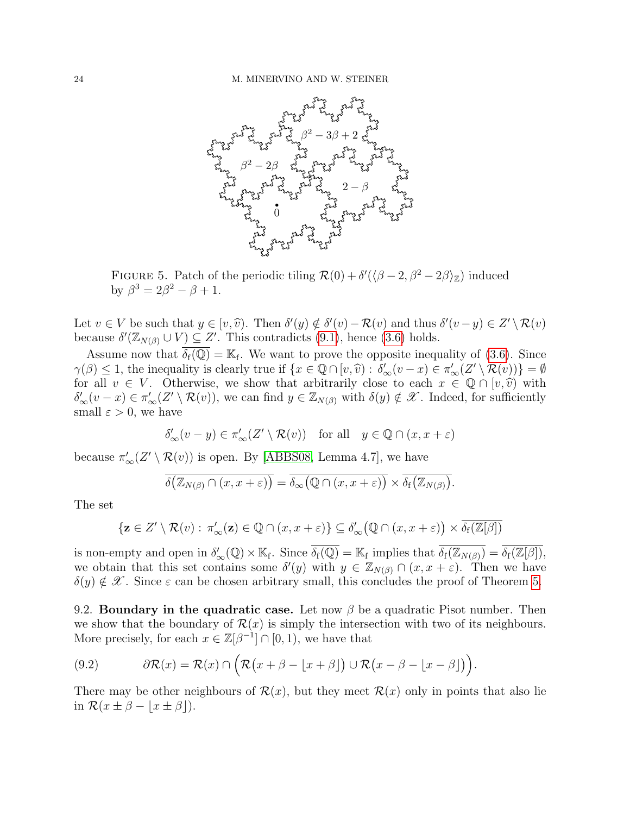

<span id="page-23-0"></span>FIGURE 5. Patch of the periodic tiling  $\mathcal{R}(0) + \delta'(\sqrt{\beta-2}, \beta^2-2\beta)z$  induced by  $\beta^3 = 2\beta^2 - \beta + 1$ .

Let  $v \in V$  be such that  $y \in [v, \hat{v})$ . Then  $\delta'(y) \notin \delta'(v) - \mathcal{R}(v)$  and thus  $\delta'(v-y) \in Z' \setminus \mathcal{R}(v)$ <br>because  $\delta'(\mathbb{Z}_{\geq 0} \cup V) \subset Z'$ . This contradicts (9.1), bonce (3.6) holds because  $\delta'(\mathbb{Z}_{N(\beta)} \cup V) \subseteq Z'$ . This contradicts [\(9.1\)](#page-22-2), hence [\(3.6\)](#page-7-4) holds.

Assume now that  $\overline{\delta_f(\mathbb{Q})} = \mathbb{K}_f$ . We want to prove the opposite inequality of [\(3.6\)](#page-7-4). Since  $\gamma(\beta) \leq 1$ , the inequality is clearly true if  $\{x \in \mathbb{Q} \cap [v, \hat{v}) : \delta'_{\infty}(v-x) \in \pi'_{\infty}(Z' \setminus \mathcal{R}(v))\} = \emptyset$ <br>for all  $v \in V$  Otherwise, we show that arbitrarily close to each  $x \in \mathbb{Q} \cap [v, \hat{v})$  with for all  $v \in V$ . Otherwise, we show that arbitrarily close to each  $x \in \mathbb{Q} \cap [v, \hat{v})$  with  $\delta'_{\infty}(v-x) \in \pi'_{\infty}(Z' \setminus \mathcal{R}(v)),$  we can find  $y \in \mathbb{Z}_{N(\beta)}$  with  $\delta(y) \notin \mathscr{X}$ . Indeed, for sufficiently small  $\varepsilon > 0$ , we have

$$
\delta'_\infty(v-y)\in \pi'_\infty(Z'\setminus \mathcal{R}(v))\quad \text{for all}\quad y\in \mathbb{Q}\cap (x,x+\varepsilon)
$$

because  $\pi'_{\infty}(Z' \setminus \mathcal{R}(v))$  is open. By [\[ABBS08,](#page-27-4) Lemma 4.7], we have

$$
\overline{\delta\big(\mathbb{Z}_{N(\beta)}\cap(x,x+\varepsilon)\big)}=\overline{\delta_{\infty}\big(\mathbb{Q}\cap(x,x+\varepsilon)\big)}\times\overline{\delta_{\rm f}\big(\mathbb{Z}_{N(\beta)}\big)}.
$$

The set

$$
\{ \mathbf{z} \in Z' \setminus \mathcal{R}(v) : \pi'_{\infty}(\mathbf{z}) \in \mathbb{Q} \cap (x, x + \varepsilon) \} \subseteq \delta'_{\infty}(\mathbb{Q} \cap (x, x + \varepsilon)) \times \overline{\delta_f(\mathbb{Z}[\beta])}
$$

is non-empty and open in  $\delta'_{\infty}(\mathbb{Q}) \times \mathbb{K}_{f}$ . Since  $\overline{\delta_{f}(\mathbb{Q})} = \mathbb{K}_{f}$  implies that  $\overline{\delta_{f}(\mathbb{Z}_{N(\beta)})} = \overline{\delta_{f}(\mathbb{Z}[\beta])}$ , we obtain that this set contains some  $\delta'(y)$  with  $y \in \mathbb{Z}_{N(\beta)} \cap (x, x + \varepsilon)$ . Then we have  $\delta(y) \notin \mathscr{X}$ . Since  $\varepsilon$  can be chosen arbitrary small, this concludes the proof of Theorem [5.](#page-7-0)

9.2. Boundary in the quadratic case. Let now  $\beta$  be a quadratic Pisot number. Then we show that the boundary of  $\mathcal{R}(x)$  is simply the intersection with two of its neighbours. More precisely, for each  $x \in \mathbb{Z}[\beta^{-1}] \cap [0,1)$ , we have that

<span id="page-23-1"></span>(9.2) 
$$
\partial \mathcal{R}(x) = \mathcal{R}(x) \cap \left( \mathcal{R}(x + \beta - \lfloor x + \beta \rfloor) \cup \mathcal{R}(x - \beta - \lfloor x - \beta \rfloor) \right).
$$

There may be other neighbours of  $\mathcal{R}(x)$ , but they meet  $\mathcal{R}(x)$  only in points that also lie in  $\mathcal{R}(x \pm \beta - \lfloor x \pm \beta \rfloor)$ .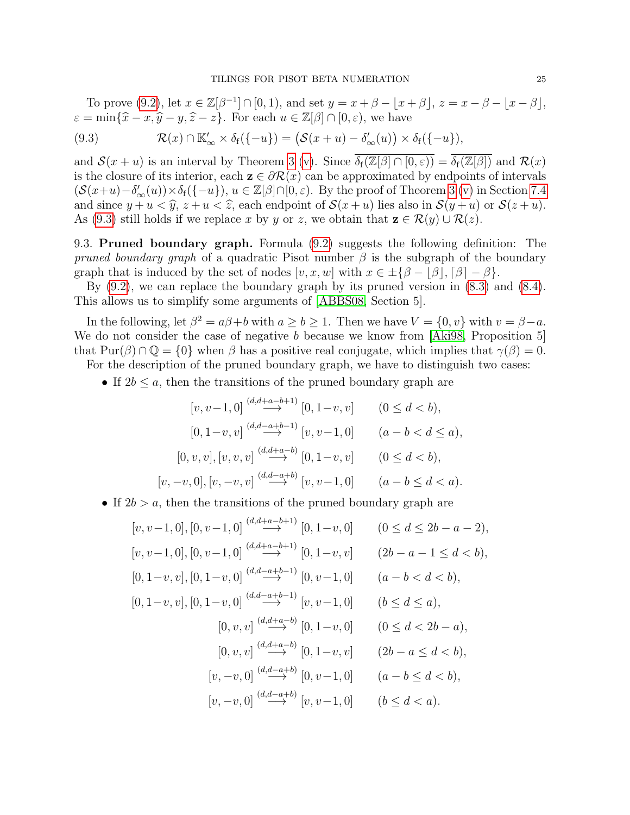To prove [\(9.2\)](#page-23-1), let  $x \in \mathbb{Z}[\beta^{-1}] \cap [0,1)$ , and set  $y = x + \beta - |x + \beta|$ ,  $z = x - \beta - |x - \beta|$ ,  $\varepsilon = \min\{\hat{x} - x, \hat{y} - y, \hat{z} - z\}.$  For each  $u \in \mathbb{Z}[\beta] \cap [0, \varepsilon)$ , we have

<span id="page-24-0"></span>(9.3) 
$$
\mathcal{R}(x) \cap \mathbb{K}'_{\infty} \times \delta_f(\{-u\}) = (\mathcal{S}(x+u) - \delta'_{\infty}(u)) \times \delta_f(\{-u\}),
$$

and  $\mathcal{S}(x+u)$  is an interval by Theorem [3](#page-6-1) [\(v\)](#page-6-3). Since  $\delta_f(\mathbb{Z}[\beta] \cap [0,\varepsilon)) = \delta_f(\mathbb{Z}[\beta])$  and  $\mathcal{R}(x)$ is the closure of its interior, each  $z \in \partial \mathcal{R}(x)$  can be approximated by endpoints of intervals  $(\mathcal{S}(x+u)-\delta'_{\infty}(u))\times\delta_{\mathfrak{f}}(\{-u\}), u\in\mathbb{Z}[\beta]\cap[0,\varepsilon).$  By the proof of Theorem [3](#page-6-1) [\(v\)](#page-6-3) in Section [7.4](#page-16-3) and since  $y + u < \hat{y}$ ,  $z + u < \hat{z}$ , each endpoint of  $\mathcal{S}(x + u)$  lies also in  $\mathcal{S}(y + u)$  or  $\mathcal{S}(z + u)$ . As [\(9.3\)](#page-24-0) still holds if we replace x by y or z, we obtain that  $z \in \mathcal{R}(y) \cup \mathcal{R}(z)$ .

9.3. Pruned boundary graph. Formula [\(9.2\)](#page-23-1) suggests the following definition: The pruned boundary graph of a quadratic Pisot number  $\beta$  is the subgraph of the boundary graph that is induced by the set of nodes  $[v, x, w]$  with  $x \in \pm \{\beta - |\beta|, [\beta] - \beta\}.$ 

By  $(9.2)$ , we can replace the boundary graph by its pruned version in  $(8.3)$  and  $(8.4)$ . This allows us to simplify some arguments of [\[ABBS08,](#page-27-4) Section 5].

In the following, let  $\beta^2 = a\beta + b$  with  $a \ge b \ge 1$ . Then we have  $V = \{0, v\}$  with  $v = \beta - a$ . We do not consider the case of negative b because we know from [\[Aki98,](#page-27-6) Proposition 5] that  $\text{Pur}(\beta) \cap \mathbb{Q} = \{0\}$  when  $\beta$  has a positive real conjugate, which implies that  $\gamma(\beta) = 0$ . For the description of the pruned boundary graph, we have to distinguish two cases:

• If  $2b \leq a$ , then the transitions of the pruned boundary graph are

$$
[v, v-1, 0] \stackrel{(d, d+a-b+1)}{\longrightarrow} [0, 1-v, v] \qquad (0 \le d < b),
$$
  
\n
$$
[0, 1-v, v] \stackrel{(d, d-a+b-1)}{\longrightarrow} [v, v-1, 0] \qquad (a - b < d \le a),
$$
  
\n
$$
[0, v, v], [v, v, v] \stackrel{(d, d+a-b)}{\longrightarrow} [0, 1-v, v] \qquad (0 \le d < b),
$$
  
\n
$$
[v, -v, 0], [v, -v, v] \stackrel{(d, d-a+b)}{\longrightarrow} [v, v-1, 0] \qquad (a - b \le d < a).
$$

• If  $2b > a$ , then the transitions of the pruned boundary graph are

$$
[v, v-1, 0], [0, v-1, 0] \stackrel{(d, d+a-b+1)}{\longrightarrow} [0, 1-v, 0] \qquad (0 \le d \le 2b - a - 2),
$$
  
\n
$$
[v, v-1, 0], [0, v-1, 0] \stackrel{(d, d+a-b+1)}{\longrightarrow} [0, 1-v, v] \qquad (2b - a - 1 \le d < b),
$$
  
\n
$$
[0, 1-v, v], [0, 1-v, 0] \stackrel{(d, d-a+b-1)}{\longrightarrow} [0, v-1, 0] \qquad (a - b < d < b),
$$
  
\n
$$
[0, 1-v, v], [0, 1-v, 0] \stackrel{(d, d-a+b-1)}{\longrightarrow} [v, v-1, 0] \qquad (b \le d \le a),
$$
  
\n
$$
[0, v, v] \stackrel{(d, d+a-b)}{\longrightarrow} [0, 1-v, 0] \qquad (0 \le d < 2b - a),
$$
  
\n
$$
[v, -v, 0] \stackrel{(d, d-a+b)}{\longrightarrow} [0, v-1, 0] \qquad (a - b \le d < b),
$$
  
\n
$$
[v, -v, 0] \stackrel{(d, d-a+b)}{\longrightarrow} [v, v-1, 0] \qquad (b \le d < a).
$$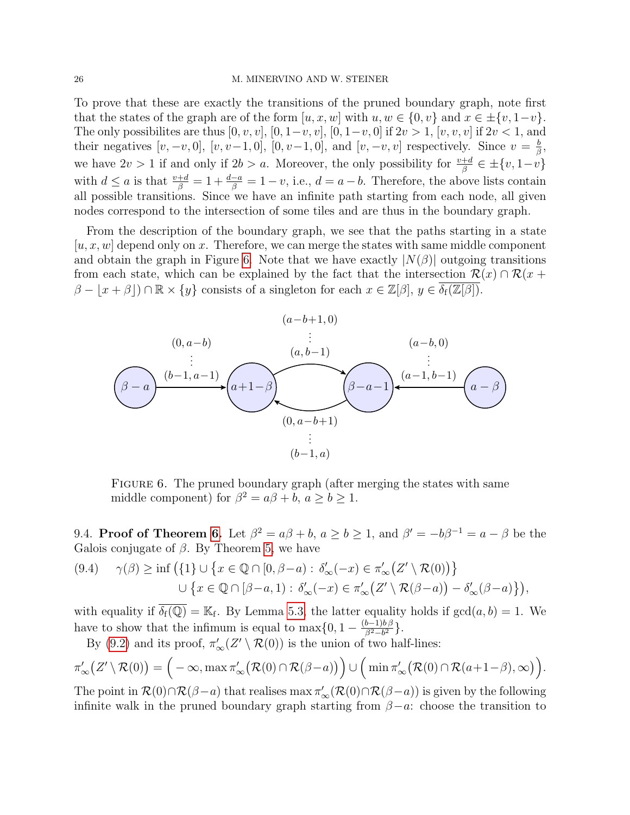#### 26 M. MINERVINO AND W. STEINER

To prove that these are exactly the transitions of the pruned boundary graph, note first that the states of the graph are of the form  $[u, x, w]$  with  $u, w \in \{0, v\}$  and  $x \in \pm \{v, 1-v\}$ . The only possibilites are thus  $[0, v, v]$ ,  $[0, 1-v, v]$ ,  $[0, 1-v, 0]$  if  $2v > 1$ ,  $[v, v, v]$  if  $2v < 1$ , and their negatives  $[v, -v, 0]$ ,  $[v, v-1, 0]$ ,  $[0, v-1, 0]$ , and  $[v, -v, v]$  respectively. Since  $v = \frac{b}{\beta}$  $\frac{b}{\beta}$ , we have  $2v > 1$  if and only if  $2b > a$ . Moreover, the only possibility for  $\frac{v+d}{\beta} \in \pm \{v, 1-v\}$ with  $d \le a$  is that  $\frac{v+d}{\beta} = 1 + \frac{d-a}{\beta} = 1 - v$ , i.e.,  $d = a - b$ . Therefore, the above lists contain all possible transitions. Since we have an infinite path starting from each node, all given nodes correspond to the intersection of some tiles and are thus in the boundary graph.

From the description of the boundary graph, we see that the paths starting in a state  $[u, x, w]$  depend only on x. Therefore, we can merge the states with same middle component and obtain the graph in Figure [6.](#page-25-0) Note that we have exactly  $|N(\beta)|$  outgoing transitions from each state, which can be explained by the fact that the intersection  $\mathcal{R}(x) \cap \mathcal{R}(x +$  $\beta - \lfloor x + \beta \rfloor \cap \mathbb{R} \times \{y\}$  consists of a singleton for each  $x \in \mathbb{Z}[\beta], y \in \overline{\delta_f(\mathbb{Z}[\beta])}$ .



<span id="page-25-0"></span>FIGURE 6. The pruned boundary graph (after merging the states with same middle component) for  $\beta^2 = a\beta + b, a \ge b \ge 1$ .

9.4. Proof of Theorem [6.](#page-7-1) Let  $\beta^2 = a\beta + b$ ,  $a \ge b \ge 1$ , and  $\beta' = -b\beta^{-1} = a - \beta$  be the Galois conjugate of  $\beta$ . By Theorem [5,](#page-7-0) we have

$$
(9.4) \quad \gamma(\beta) \ge \inf \left( \{1\} \cup \left\{ x \in \mathbb{Q} \cap [0, \beta - a) : \delta_{\infty}'(-x) \in \pi_{\infty}'(Z' \setminus \mathcal{R}(0)) \right\} \right. \\ \left. \cup \left\{ x \in \mathbb{Q} \cap [\beta - a, 1) : \delta_{\infty}'(-x) \in \pi_{\infty}'(Z' \setminus \mathcal{R}(\beta - a)) - \delta_{\infty}'(\beta - a) \right\} \right),
$$

with equality if  $\overline{\delta_f(\mathbb{Q})} = \mathbb{K}_f$ . By Lemma [5.3,](#page-9-2) the latter equality holds if  $gcd(a, b) = 1$ . We have to show that the infimum is equal to  $\max\{0, 1 - \frac{(b-1)b}{\beta^2 - h^2}\}$  $\frac{b-1)b\beta}{\beta^2-b^2}$ .

By [\(9.2\)](#page-23-1) and its proof,  $\pi'_{\infty}(Z' \setminus \mathcal{R}(0))$  is the union of two half-lines:

$$
\pi'_{\infty}\big(Z'\setminus \mathcal{R}(0)\big)=\Big(-\infty,\max \pi'_{\infty}\big(\mathcal{R}(0)\cap \mathcal{R}(\beta-a)\big)\Big)\cup \Big(\min \pi'_{\infty}\big(\mathcal{R}(0)\cap \mathcal{R}(a+1-\beta),\infty\big)\Big).
$$

The point in  $\mathcal{R}(0) \cap \mathcal{R}(\beta - a)$  that realises  $\max \pi'_{\infty}(\mathcal{R}(0) \cap \mathcal{R}(\beta - a))$  is given by the following infinite walk in the pruned boundary graph starting from  $\beta - a$ : choose the transition to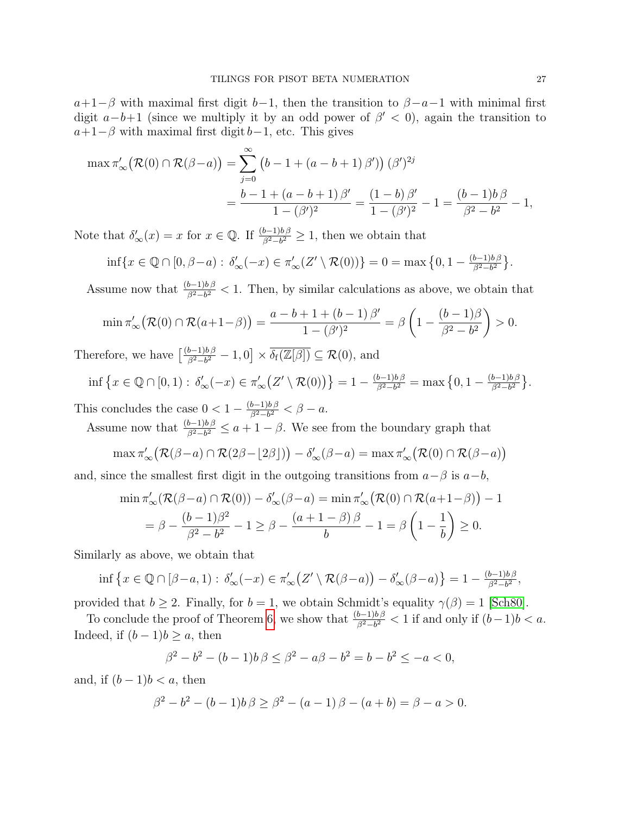$a+1-\beta$  with maximal first digit b−1, then the transition to  $\beta-a-1$  with minimal first digit  $a-b+1$  (since we multiply it by an odd power of  $\beta' < 0$ ), again the transition to  $a+1-\beta$  with maximal first digit  $b-1$ , etc. This gives

$$
\max \pi'_{\infty} (\mathcal{R}(0) \cap \mathcal{R}(\beta - a)) = \sum_{j=0}^{\infty} (b - 1 + (a - b + 1) \beta') (\beta')^{2j}
$$
  
= 
$$
\frac{b - 1 + (a - b + 1) \beta'}{1 - (\beta')^2} = \frac{(1 - b) \beta'}{1 - (\beta')^2} - 1 = \frac{(b - 1)b \beta}{\beta^2 - b^2} - 1,
$$

Note that  $\delta'_{\infty}(x) = x$  for  $x \in \mathbb{Q}$ . If  $\frac{(b-1)b\beta}{\beta^2 - b^2} \ge 1$ , then we obtain that

$$
\inf\{x\in\mathbb{Q}\cap[0,\beta-a):\,\delta'_{\infty}(-x)\in\pi'_{\infty}(Z'\setminus\mathcal{R}(0))\}=0=\max\big\{0,1-\frac{(b-1)b\beta}{\beta^2-b^2}\big\}.
$$

Assume now that  $\frac{(b-1)b\beta}{\beta^2-b^2}$  < 1. Then, by similar calculations as above, we obtain that

$$
\min \pi'_{\infty} (\mathcal{R}(0) \cap \mathcal{R}(a+1-\beta)) = \frac{a-b+1+(b-1)\beta'}{1-(\beta')^2} = \beta \left(1 - \frac{(b-1)\beta}{\beta^2 - b^2}\right) > 0.
$$

Therefore, we have  $\frac{(b-1)b\beta}{\beta^2 - b^2}$  $\frac{b-1)b\beta}{\beta^2-b^2} - 1,0] \times \overline{\delta_f(\mathbb{Z}[\beta])} \subseteq \mathcal{R}(0)$ , and

$$
\inf \left\{ x \in \mathbb{Q} \cap [0,1) : \delta'_{\infty}(-x) \in \pi'_{\infty} \big( Z' \setminus \mathcal{R}(0) \big) \right\} = 1 - \frac{(b-1)b\beta}{\beta^2 - b^2} = \max \left\{ 0, 1 - \frac{(b-1)b\beta}{\beta^2 - b^2} \right\}.
$$

This concludes the case  $0 < 1 - \frac{(b-1)b\beta}{\beta^2 - b^2}$  $\frac{b-1)b\beta}{\beta^2-b^2}<\beta-a.$ 

Assume now that  $\frac{(b-1)b\beta}{\beta^2-b^2} \le a+1-\beta$ . We see from the boundary graph that

$$
\max \pi'_{\infty} (\mathcal{R}(\beta - a) \cap \mathcal{R}(2\beta - \lfloor 2\beta \rfloor)) - \delta'_{\infty}(\beta - a) = \max \pi'_{\infty} (\mathcal{R}(0) \cap \mathcal{R}(\beta - a))
$$

and, since the smallest first digit in the outgoing transitions from  $a-\beta$  is  $a-b$ ,

$$
\min \pi'_{\infty}(\mathcal{R}(\beta - a) \cap \mathcal{R}(0)) - \delta'_{\infty}(\beta - a) = \min \pi'_{\infty}(\mathcal{R}(0) \cap \mathcal{R}(a + 1 - \beta)) - 1
$$
  
=  $\beta - \frac{(b - 1)\beta^2}{\beta^2 - b^2} - 1 \ge \beta - \frac{(a + 1 - \beta)\beta}{b} - 1 = \beta \left(1 - \frac{1}{b}\right) \ge 0.$ 

Similarly as above, we obtain that

$$
\inf \left\{ x \in \mathbb{Q} \cap [\beta - a, 1) : \delta'_{\infty}(-x) \in \pi'_{\infty} \big( Z' \setminus \mathcal{R}(\beta - a) \big) - \delta'_{\infty}(\beta - a) \right\} = 1 - \frac{(b-1)b\beta}{\beta^2 - b^2},
$$

provided that  $b \geq 2$ . Finally, for  $b = 1$ , we obtain Schmidt's equality  $\gamma(\beta) = 1$  [\[Sch80\]](#page-28-13).

To conclude the proof of Theorem [6,](#page-7-1) we show that  $\frac{(b-1)b\beta}{\beta^2-b^2} < 1$  if and only if  $(b-1)b < a$ . Indeed, if  $(b-1)b \geq a$ , then

$$
\beta^2 - b^2 - (b - 1)b\beta \le \beta^2 - a\beta - b^2 = b - b^2 \le -a < 0,
$$

and, if  $(b-1)b < a$ , then

$$
\beta^2 - b^2 - (b - 1)b\beta \ge \beta^2 - (a - 1)\beta - (a + b) = \beta - a > 0.
$$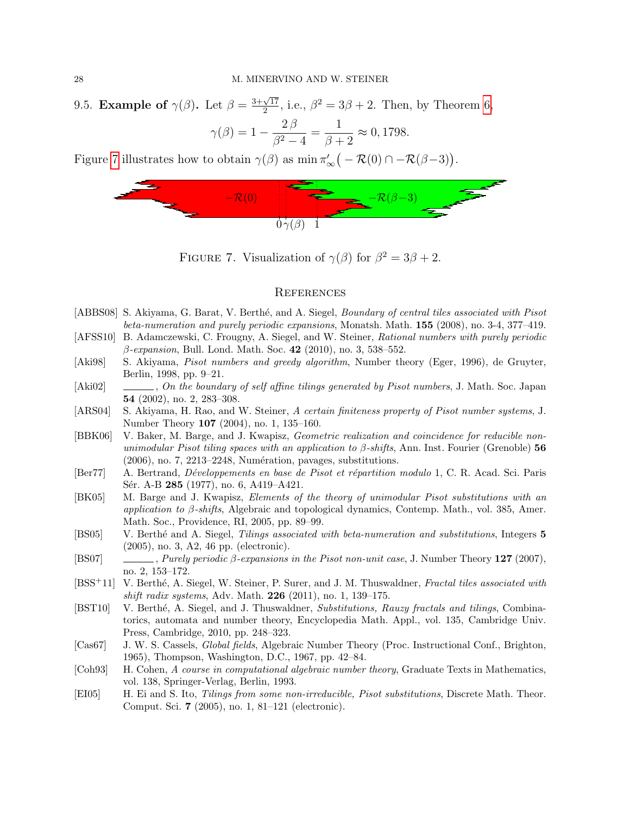9.5. Example of  $\gamma(\beta)$ . Let  $\beta = \frac{3+\sqrt{17}}{2}$  $\frac{\sqrt{17}}{2}$ , i.e.,  $\beta^2 = 3\beta + 2$ . Then, by Theorem [6,](#page-7-1)

$$
\gamma(\beta) = 1 - \frac{2\beta}{\beta^2 - 4} = \frac{1}{\beta + 2} \approx 0,1798.
$$

Figure [7](#page-27-15) illustrates how to obtain  $\gamma(\beta)$  as  $\min \pi'_{\infty}(-\mathcal{R}(0) \cap -\mathcal{R}(\beta-3)).$ 



FIGURE 7. Visualization of  $\gamma(\beta)$  for  $\beta^2 = 3\beta + 2$ .

### <span id="page-27-15"></span>**REFERENCES**

- <span id="page-27-4"></span>[ABBS08] S. Akiyama, G. Barat, V. Berthé, and A. Siegel, *Boundary of central tiles associated with Pisot* beta-numeration and purely periodic expansions, Monatsh. Math. 155 (2008), no. 3-4, 377–419.
- <span id="page-27-7"></span>[AFSS10] B. Adamczewski, C. Frougny, A. Siegel, and W. Steiner, Rational numbers with purely periodic  $\beta$ -expansion, Bull. Lond. Math. Soc. 42 (2010), no. 3, 538–552.
- <span id="page-27-6"></span>[Aki98] S. Akiyama, Pisot numbers and greedy algorithm, Number theory (Eger, 1996), de Gruyter, Berlin, 1998, pp. 9–21.
- <span id="page-27-12"></span>[Aki02] , On the boundary of self affine tilings generated by Pisot numbers, J. Math. Soc. Japan 54 (2002), no. 2, 283–308.
- <span id="page-27-9"></span>[ARS04] S. Akiyama, H. Rao, and W. Steiner, A certain finiteness property of Pisot number systems, J. Number Theory 107 (2004), no. 1, 135–160.
- <span id="page-27-2"></span>[BBK06] V. Baker, M. Barge, and J. Kwapisz, Geometric realization and coincidence for reducible nonunimodular Pisot tiling spaces with an application to  $\beta$ -shifts, Ann. Inst. Fourier (Grenoble) 56  $(2006)$ , no. 7, 2213–2248, Numération, pavages, substitutions.
- <span id="page-27-8"></span>[Ber77] A. Bertrand, *Développements en base de Pisot et répartition modulo* 1, C. R. Acad. Sci. Paris Sér. A-B 285 (1977), no. 6, A419–A421.
- <span id="page-27-13"></span>[BK05] M. Barge and J. Kwapisz, Elements of the theory of unimodular Pisot substitutions with an application to  $\beta$ -shifts, Algebraic and topological dynamics, Contemp. Math., vol. 385, Amer. Math. Soc., Providence, RI, 2005, pp. 89–99.
- <span id="page-27-0"></span>[BS05] V. Berthé and A. Siegel, Tilings associated with beta-numeration and substitutions, Integers 5 (2005), no. 3, A2, 46 pp. (electronic).
- <span id="page-27-3"></span>[BS07] , Purely periodic β-expansions in the Pisot non-unit case, J. Number Theory 127 (2007), no. 2, 153–172.
- <span id="page-27-5"></span>[BSS<sup>+</sup>11] V. Berthé, A. Siegel, W. Steiner, P. Surer, and J. M. Thuswaldner, Fractal tiles associated with shift radix systems, Adv. Math.  $226$  (2011), no. 1, 139–175.
- <span id="page-27-1"></span>[BST10] V. Berthé, A. Siegel, and J. Thuswaldner, Substitutions, Rauzy fractals and tilings, Combinatorics, automata and number theory, Encyclopedia Math. Appl., vol. 135, Cambridge Univ. Press, Cambridge, 2010, pp. 248–323.
- <span id="page-27-10"></span>[Cas67] J. W. S. Cassels, Global fields, Algebraic Number Theory (Proc. Instructional Conf., Brighton, 1965), Thompson, Washington, D.C., 1967, pp. 42–84.
- <span id="page-27-11"></span>[Coh93] H. Cohen, A course in computational algebraic number theory, Graduate Texts in Mathematics, vol. 138, Springer-Verlag, Berlin, 1993.
- <span id="page-27-14"></span>[EI05] H. Ei and S. Ito, Tilings from some non-irreducible, Pisot substitutions, Discrete Math. Theor. Comput. Sci. 7 (2005), no. 1, 81–121 (electronic).